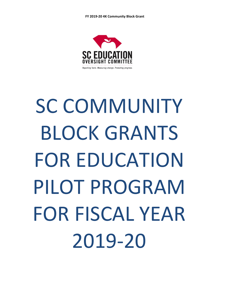

# SC COMMUNITY BLOCK GRANTS FOR EDUCATION PILOT PROGRAM FOR FISCAL YEAR 2019-20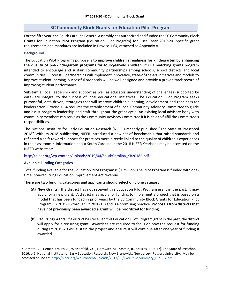# **SC Community Block Grants for Education Pilot Program**

For the fifth year, the South Carolina General Assembly has authorized and funded the SC Community Block Grants for Education Pilot Program (Education Pilot Program) for Fiscal Year 2019-20. Specific grant requirements and mandates are included in Proviso 1.64, attached as Appendix A.

# **Background**

The Education Pilot Program's purpose is **to improve children's readiness for kindergarten by enhancing the quality of pre-kindergarten programs for four-year-old children.** It is a matching grants program intended to encourage and sustain community partnerships among schools, school districts and local communities. Successful partnerships will implement innovative, state-of-the-art initiatives and models to improve student learning. Successful proposals will be well-designed and provide a proven track record of improving student performance.

Substantial local leadership and support as well as educator understanding of challenges (supported by data) are integral to the success of local educational initiatives. The Education Pilot Program seeks purposeful, data driven, strategies that will improve children's learning, development and readiness for kindergarten. Proviso 1.64 requires the establishment of a local Community Advisory Committee to guide and assist program leadership and staff throughout the grant cycle. An existing local advisory body with community members can serve as the Community Advisory Committee if it is able to fulfill the Committee's responsibilities.

The National Institute for Early Education Research (NIEER) recently published "The State of Preschool 2018" With its 2018 publication, NIEER introduced a new set of benchmarks that raised standards and reflected a shift toward supports for practices more directly linked to the quality of children's experiences in the classroom.<sup>1</sup> Information about South Carolina in the 2018 NIEER Yearbook may be accessed on the NIEER website at:

[http://nieer.org/wp-content/uploads/2019/04/SouthCarolina\\_YB2018R.pdf.](http://nieer.org/wp-content/uploads/2019/04/SouthCarolina_YB2018R.pdf)

# **Available Funding Categories**

Total funding available for the Education Pilot Program is \$1 million. The Pilot Program is funded with onetime, non-recurring Education Improvement Act revenue.

# **There are two funding categories and applicants should select only one category:**

- **(A) New Grants:** If a district has not received this Education Pilot Program grant in the past, it may apply for a new grant. A district may apply for funding to implement a project that is based on a model that has been funded in prior years by the SC Community Block Grants for Education Pilot Program (FY 2015-16 through FY 2018-19) and is a promising practice. **Proposals from districts that have not previously been awarded a grant will be prioritized for funding.**
- **(B) Recurring Grants:** If a district has received this Education Pilot Program grant in the past, the district will apply for a recurring grant. Awardees are required to focus on how the request for funding during FY 2019-20 will sustain the project and ensure it will continue after one year of funding if awarded.

<span id="page-1-0"></span><sup>&</sup>lt;sup>1</sup> Barnett, B., Frieman-Krauss, A., Weisenfeld, GG., Horowitz, M., Kasmin, R., Squires, J. (2017). The State of Preschool 2016. p.6. National Institute for Early Education Research. New Brunswick, New Jersey: Rutgers University. May be accessed online at: [http://nieer.org/wp-](http://nieer.org/wp-content/uploads/2017/08/Executive-Summary_8.21.17.pdf)content/uploads/2017/08/Executive-Summary 8.21.17.pdf.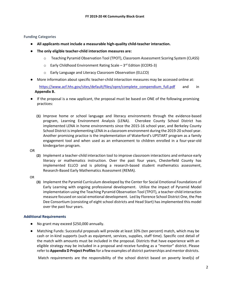# **Funding Categories**

- **All applicants must include a measurable high-quality child-teacher interaction.**
- **The only eligible teacher-child interaction measures are:**
	- o Teaching Pyramid Observation Tool (TPOT), Classroom Assessment Scoring System (CLASS)
	- $\circ$  Early Childhood Environment Rating Scale 3<sup>rd</sup> Edition (ECERS-3)
	- o Early Language and Literacy Classroom Observation (ELLCO)
- More information about specific teacher-child interaction measures may be accessed online at:

[https://www.acf.hhs.gov/sites/default/files/opre/complete\\_compendium\\_full.pdf](https://www.acf.hhs.gov/sites/default/files/opre/complete_compendium_full.pdf) and in **Appendix B.**

- If the proposal is a new applicant, the proposal must be based on ONE of the following promising practices:
	- **(1)** Improve home or school language and literacy environments through the evidence-based program, Learning Environment Analysis (LENA). Cherokee County School District has implemented LENA in home environments since the 2015-16 school year, and Berkeley County School District is implementing LENA in a classroom environment during the 2019-20 school year. Another promising practice is the implementation of Waterford's UPSTART program as a family engagement tool and when used as an enhancement to children enrolled in a four-year-old kindergarten program.
- OR
- **(2)** Implement a teacher-child interaction tool to improve classroom interactions and enhance early literacy or mathematics instruction. Over the past four years, Chesterfield County has implemented ELLCO and is piloting a research-based student mathematics assessment, Research-Based Early Mathematics Assessment (REMA).
- OR
- **(3)** Implement the Pyramid Curriculum developed by the Center for Social Emotional Foundations of Early Learning with ongoing professional development. Utilize the impact of Pyramid Model implementation using the Teaching Pyramid Observation Tool (TPOT), a teacher-child interaction measure focused on social-emotional development. Led by Florence School District One, the Pee Dee Consortium (consisting of eight school districts and Head Start) has implemented this model over the past four years.

# **Additional Requirements**

- No grant may exceed \$250,000 annually.
- Matching Funds: Successful proposals will provide at least 10% (ten percent) match, which may be cash or in-kind supports (such as equipment, services, supplies, staff time). Specific cost detail of the match with amounts must be included in the proposal. Districts that have experience with an eligible strategy may be included in a proposal and receive funding as a "mentor" district. Please refer to **Appendix D Project Profiles**for a few examples of district partnerships and mentor districts.

Match requirements are the responsibility of the school district based on poverty level(s) of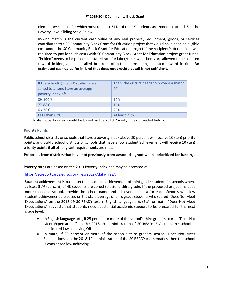elementary schools for which most (at least 51%) of the 4K students are zoned to attend. See the Poverty Level Sliding Scale Below.

In-kind match is the current cash value of any real property, equipment, goods, or services contributed to a SC Community Block Grant for Education project that would have been an eligible cost under the SC Community Block Grant for Education project if the recipient/sub-recipient was required to pay for such costs with SC Community Block Grant for Education project grant funds. "In-kind" needs to be priced at a stated rate for labor/time, what items are allowed to be counted toward in-kind, and a detailed breakout of actual items being counted toward in-kind. **An estimated cash value for in-kind that does not provide detail is not sufficient.**

| If the school(s) that 4K students are<br>zoned to attend have an average<br>poverty index of: | Then, the district needs to provide a match<br>of: |
|-----------------------------------------------------------------------------------------------|----------------------------------------------------|
| 89-100%                                                                                       | 10%                                                |
| 77-88%                                                                                        | 15%                                                |
| 63-76%                                                                                        | 20%                                                |
| Less than 62%                                                                                 | At least 21%                                       |

Note: Poverty rates should be based on the 2019 Poverty Index provided below.

# **Priority Points**

Public school districts or schools that have a poverty index above 80 percent will receive 10 (ten) priority points, and public school districts or schools that have a low student achievement will receive 10 (ten) priority points if all other grant requirements are met.

**Proposals from districts that have not previously been awarded a grant will be prioritized for funding.**

**Poverty rates** are based on the 2019 Poverty Index and may be accessed at:

[https://screportcards.ed.sc.gov/files/2019//data-files/.](https://screportcards.ed.sc.gov/files/2019/data-files/)

**Student achievement** is based on the academic achievement of third grade students in schools where at least 51% (percent) of 4K students are zoned to attend third grade. If the proposed project includes more than one school, provide the school name and achievement data for each. Schools with low student achievement are based on the state average of third grade students who scored "Does Not Meet Expectations" on the 2018-19 SC READY test in English language arts (ELA) or math. "Does Not Meet Expectations" suggests that students need substantial academic support to be prepared for the next grade level.

- In English language arts, if 25 percent or more of the school's third graders scored "Does Not Meet Expectations" on the 2018-19 administration of SC READY ELA, then the school is considered low achieving **OR**
- In math, if 25 percent or more of the school's third graders scored "Does Not Meet Expectations" on the 2018-19 administration of the SC READY mathematics, then the school is considered low achieving.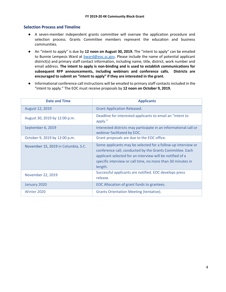# **Selection Process and Timeline**

- A seven-member independent grants committee will oversee the application procedure and selection process. Grants Committee members represent the education and business communities.
- An "intent to apply" is due by **12 noon on August 30, 2019.** The "intent to apply" can be emailed to Bunnie Lempesis Ward at **bward@eoc.sc.gov.** Please include the name of potential applicant district(s) and primary staff contact information, including name, title, district, work number and email address. **The intent to apply is non-binding and is used to establish communications for subsequent RFP announcements, including webinars and conference calls. Districts are encouraged to submit an "intent to apply" if they are interested in the grant.**
- Informational conference call instructions will be emailed to primary staff contacts included in the "intent to apply." The EOC must receive proposals by **12 noon on October 9, 2019.**

| <b>Date and Time</b>                | <b>Applicants</b>                                                                                                                                                                                                                                               |
|-------------------------------------|-----------------------------------------------------------------------------------------------------------------------------------------------------------------------------------------------------------------------------------------------------------------|
| August 12, 2019                     | <b>Grant Application Released.</b>                                                                                                                                                                                                                              |
| August 30, 2019 by 12:00 p.m.       | Deadline for interested applicants to email an "intent to<br>apply."                                                                                                                                                                                            |
| September 6, 2019                   | Interested districts may participate in an informational call or<br>webinar facilitated by EOC.                                                                                                                                                                 |
| October 9, 2019 by 12:00 p.m.       | Grant proposals are due to the EOC office.                                                                                                                                                                                                                      |
| November 15, 2019 in Columbia, S.C. | Some applicants may be selected for a follow-up interview or<br>conference call, conducted by the Grants Committee. Each<br>applicant selected for an interview will be notified of a<br>specific interview or call time, no more than 30 minutes in<br>length. |
| November 22, 2019                   | Successful applicants are notified. EOC develops press<br>release.                                                                                                                                                                                              |
| January 2020                        | EOC Allocation of grant funds to grantees.                                                                                                                                                                                                                      |
| Winter 2020                         | <b>Grants Orientation Meeting (tentative).</b>                                                                                                                                                                                                                  |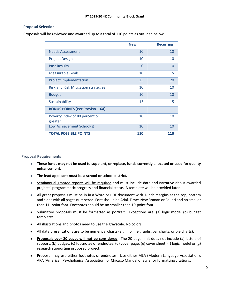# **Proposal Selection**

Proposals will be reviewed and awarded up to a total of 110 points as outlined below.

|                                            | <b>New</b> | <b>Recurring</b> |
|--------------------------------------------|------------|------------------|
| <b>Needs Assessment</b>                    | 10         | 10               |
| <b>Project Design</b>                      | 10         | 10               |
| <b>Past Results</b>                        | $\Omega$   | 10               |
| <b>Measurable Goals</b>                    | 10         | 5                |
| <b>Project Implementation</b>              | 25         | 20               |
| <b>Risk and Risk Mitigation strategies</b> | 10         | 10               |
| <b>Budget</b>                              | 10         | 10               |
| Sustainability                             | 15         | 15               |
| <b>BONUS POINTS (Per Proviso 1.64)</b>     |            |                  |
| Poverty Index of 80 percent or<br>greater  | 10         | 10               |
| Low Achievement School(s)                  | 10         | 10               |
| <b>TOTAL POSSIBLE POINTS</b>               | 110        | 110              |

# **Proposal Requirements**

- **These funds may not be used to supplant, or replace, funds currently allocated or used for quality enhancement.**
- **The lead applicant must be a school or school district.**
- Semiannual grantee reports will be required and must include data and narrative about awarded projects' programmatic progress and financial status. A template will be provided later.
- All grant proposals must be in in a Word or PDF document with 1-inch margins at the top, bottom and sides with all pages numbered. Font should be Arial, Times New Roman or Calibri and no smaller than 11- point font. Footnotes should be no smaller than 10-point font.
- Submitted proposals must be formatted as portrait. Exceptions are: (a) logic model (b) budget templates.
- All illustrations and photos need to use the grayscale. No colors.
- All data presentations are to be numerical charts (e.g., no line graphs, bar charts, or pie charts).
- **Proposals over 20 pages will not be considered**. The 20-page limit does not include (a) letters of support, (b) budget, (c) footnotes or endnotes, (d) cover page, (e) cover sheet, (f) logic model or (g) research supporting proposed project.
- Proposal may use either footnotes or endnotes. Use either MLA (Modern Language Association), APA (American Psychological Association) or Chicago Manual of Style for formatting citations.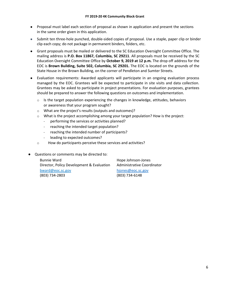- Proposal must label each section of proposal as shown in application and present the sections in the same order given in this application.
- Submit ten three-hole punched, double-sided copies of proposal. Use a staple, paper clip or binder clip each copy; do not package in permanent binders, folders, etc.
- Grant proposals must be mailed or delivered to the SC Education Oversight Committee Office. The mailing address is **P.O. Box 11867, Columbia, SC 29211**. All proposals must be received by the SC Education Oversight Committee Office by **October 9, 2019 at 12 p.m.** The drop off address for the EOC is **Brown Building, Suite 502, Columbia, SC 29201.** The EOC is located on the grounds of the State House in the Brown Building, on the corner of Pendleton and Sumter Streets.
- Evaluation requirements: Awarded applicants will participate in an ongoing evaluation process managed by the EOC. Grantees will be expected to participate in site visits and data collection. Grantees may be asked to participate in project presentations. For evaluation purposes, grantees should be prepared to answer the following questions on outcomes and implementation.
	- $\circ$  Is the target population experiencing the changes in knowledge, attitudes, behaviors or awareness that your program sought?
	- o What are the project's results (outputs and outcomes)?
	- $\circ$  What is the project accomplishing among your target population? How is the project:
		- performing the services or activities planned?
		- reaching the intended target population?
		- reaching the intended number of participants?
		- leading to expected outcomes?
	- o How do participants perceive these services and activities?
- Questions or comments may be directed to:

Bunnie Ward **Hope Johnson-Jones** Director, Policy Development & Evaluation Administrative Coordinator [bward@eoc.sc.gov](mailto:bward@eoc.sc.gov) [hjones@eoc.sc.gov](mailto:hjones@eoc.sc.gov) (803) 734-2803 (803) 734-6148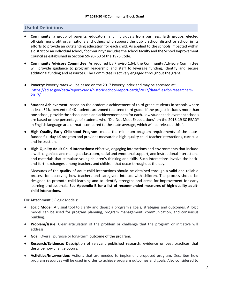# **Useful Definitions**

- **Community**: a group of parents, educators, and individuals from business, faith groups, elected officials, nonprofit organizations and others who support the public school district or school in its efforts to provide an outstanding education for each child. As applied to the schools impacted within a district or an individual school**,** "community" includes the school faculty and the School Improvement Council as established in Section 59-20- 60 of the 1976 Code.
- **Community Advisory Committee**: As required by Proviso 1.64, the Community Advisory Committee will provide guidance to program leadership and staff to leverage funding, identify and secure additional funding and resources. The Committee is actively engaged throughout the grant.
- **Poverty:** Poverty rates will be based on the 2017 Poverty Index and may be accessed at: [https://ed.sc.gov/data/report-cards/historic-school-report-cards/2017/data-files-for-researchers-](about:blank) $2017/$ .
- **Student Achievement:** based on the academic achievement of third grade students in schools where at least 51% (percent) of 4K students are zoned to attend third grade. If the project includes more than one school, provide the school name and achievement data for each. Low student achievement schools are based on the percentage of students who "Did Not Meet Expectations" on the 2018-19 SC READY in English language arts or math compared to the state average, which will be released this fall.
- **High Quality Early Childhood Program:** meets the minimum program requirements of the statefunded full-day 4K program and provides measurable high-quality child-teacher interactions, curricula and instruction.
- **High-Quality Adult-Child Interactions:** effective, engaging interactions and environments that include a well- organized and managed classroom, social and emotional support, and instructional interactions and materials that stimulate young children's thinking and skills. Such interactions involve the backand-forth exchanges among teachers and children that occur throughout the day.

Measures of the quality of adult-child interactions should be obtained through a valid and reliable process for observing how teachers and caregivers interact with children. The process should be designed to promote child learning and to identify strengths and areas for improvement for early learning professionals. **See Appendix B for a list of recommended measures of high-quality adultchild interactions.**

For **Attachment 5** (Logic Model):

- **Logic Model:** A visual tool to clarify and depict a program's goals, strategies and outcomes. A logic model can be used for program planning, program management, communication, and consensus building.
- **Problem/Issue:** Clear articulation of the problem or challenge that the program or initiative will address.
- **Goal**: Overall purpose or long-term outcome of the program.
- **Research/Evidence:** Description of relevant published research, evidence or best practices that describe how change occurs.
- **Activities/Intervention:** Actions that are needed to implement proposed program. Describes how program resources will be used in order to achieve program outcomes and goals. Also considered to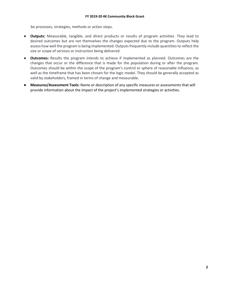be processes, strategies, methods or action steps.

- **Outputs:** Measurable, tangible, and direct products or results of program activities. They lead to desired outcomes but are not themselves the changes expected due to the program. Outputs help assess how well the program is being implemented. Outputs frequently include quantities to reflect the size or scope of services or instruction being delivered.
- **Outcomes:** Results the program intends to achieve if implemented as planned. Outcomes are the changes that occur or the difference that is made for the population during or after the program. Outcomes should be within the scope of the program's control or sphere of reasonable influence, as well as the timeframe that has been chosen for the logic model. They should be generally accepted as valid by stakeholders, framed in terms of change and measurable.
- **Measures/Assessment Tools:** Name or description of any specific measures or assessments that will provide information about the impact of the project's implemented strategies or activities.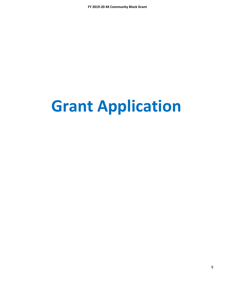# **Grant Application**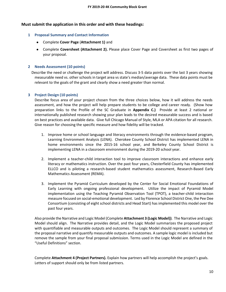# **Must submit the application in this order and with these headings:**

# **1 Proposal Summary and Contact Information**

- Complete **Cover Page** (**Attachment 1)** and
- Complete **Coversheet (Attachment 2).** Please place Cover Page and Coversheet as first two pages of your proposal.

# **2 Needs Assessment (10 points)**

 Describe the need or challenge the project will address. Discuss 3-5 data points over the last 3 years showing measurable need vs. other schools in target area vs state's median/average data. These data points must be relevant to the goals of the grant and clearly show a need greater than normal.

# **3 Project Design (10 points)**

Describe focus area of your project chosen from the three choices below, how it will address the needs assessment, and how the project will help prepare students to be college and career ready. (Show how preparation links to the Profile of the SC Graduate in **Appendix C.)** Provide at least 2 national or internationally published research showing your plan leads to the desired measurable success and is based on best practices and available data. Give full Chicago Manual of Style, MLA or APA citation for all research. Give reason for choosing the specific measure and how fidelity will be tracked.

- 1. Improve home or school language and literacy environments through the evidence-based program, Learning Environment Analysis (LENA). Cherokee County School District has implemented LENA in home environments since the 2015-16 school year, and Berkeley County School District is implementing LENA in a classroom environment during the 2019-20 school year.
- 2. Implement a teacher-child interaction tool to improve classroom interactions and enhance early literacy or mathematics instruction. Over the past four years, Chesterfield County has implemented ELLCO and is piloting a research-based student mathematics assessment, Research-Based Early Mathematics Assessment (REMA).
- 3. Implement the Pyramid Curriculum developed by the Center for Social Emotional Foundations of Early Learning with ongoing professional development. Utilize the impact of Pyramid Model implementation using the Teaching Pyramid Observation Tool (TPOT), a teacher-child interaction measure focused on social-emotional development. Led by Florence School District One, the Pee Dee Consortium (consisting of eight school districts and Head Start) has implemented this model over the past four years.

Also provide the Narrative and Logic Model (Complete **Attachment 3 (Logic Model))**. The Narrative and Logic Model should align. The Narrative provides detail, and the Logic Model summarizes the proposed project with quantifiable and measurable outputs and outcomes. The Logic Model should represent a summary of the proposal narrative and quantify measurable outputs and outcomes. A sample logic model is included but remove the sample from your final proposal submission. Terms used in the Logic Model are defined in the "Useful Definitions" section.

Complete **Attachment 4 (Project Partners).** Explain how partners will help accomplish the project's goals. Letters of support should only be from listed partners.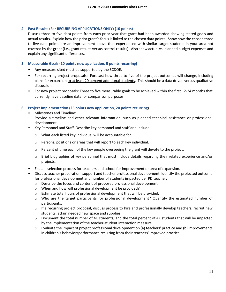# **4 Past Results (For RECURRING APPLICATIONS ONLY) (10 points)**

Discuss three to five data points from each prior year that grant had been awarded showing stated goals and actual results. Explain how the prior grant's focus is linked to the chosen data points. Show how the chosen three to five data points are an improvement above that experienced with similar target students in your area not covered by the grant (i.e., grant results versus control results). Also show actual vs. planned budget expenses and explain any significant differences.

# **5 Measurable Goals (10 points new application, 5 points recurring)**

- Any measure sited must be supported by the SCDOE.
- For recurring project proposals: Forecast how three to five of the project outcomes will change, including plans for expansion to at least 20 percent additional students. This should be a data driven versus qualitative discussion.
- For new project proposals: Three to five measurable goals to be achieved within the first 12-24 months that currently have baseline data for comparison purposes.

# **6 Project Implementation (25 points new application, 20 points recurring**)

- Milestones and Timeline: Provide a timeline and other relevant information, such as planned technical assistance or professional development.
- Key Personnel and Staff. Describe key personnel and staff and include:
	- o What each listed key individual will be accountable for.
	- o Persons, positions or areas that will report to each key individual.
	- $\circ$  Percent of time each of the key people overseeing the grant will devote to the project.
	- $\circ$  Brief biographies of key personnel that must include details regarding their related experience and/or projects.
- Explain selection process for teachers and school for improvement or area of expansion.
- Discuss teacher preparation, support and teacher professional development, identify the projected outcome for professional development and number of students impacted per PD teacher.
	- o Describe the focus and content of proposed professional development.
	- o When and how will professional development be provided?
	- o Estimate total hours of professional development that will be provided.
	- o Who are the target participants for professional development? Quantify the estimated number of participants.
	- $\circ$  If a recurring project proposal, discuss process to hire and professionally develop teachers, recruit new students, attain needed new space and supplies.
	- o Document the total number of 4K students, and the total percent of 4K students that will be impacted by the implementation of the teacher-student interaction measure.
	- $\circ$  Evaluate the impact of project professional development on (a) teachers' practice and (b) improvements in children's behavior/performance resulting from their teachers' improved practice.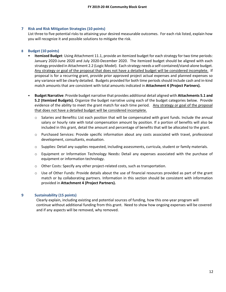# **7 Risk and Risk Mitigation Strategies (10 points)**

List three to five potential risks to attaining your desired measurable outcomes. For each risk listed, explain how you will recognize it and possible solutions to mitigate the risk.

# **8 Budget (10 points)**

- **Itemized Budget**: Using Attachment 11.1, provide an itemized budget for each strategy for two time periods: January 2020-June 2020 and July 2020-December 2020. The itemized budget should be aligned with each strategy provided in Attachment 2.2 (Logic Model). Each strategy needs a self-contained/stand-alone budget. Any strategy or goal of the proposal that does not have a detailed budget will be considered incomplete. If proposal is for a recurring grant, provide prior approved project actual expenses and planned expenses so any variance will be clearly detailed. Budgets provided for both time periods should include cash and in-kind match amounts that are consistent with total amounts indicated in **Attachment 4 (Project Partners).**
- **Budget Narrative**: Provide budget narrative that provides additional detail aligned with **Attachments 5.1 and 5.2 (Itemized Budgets).** Organize the budget narrative using each of the budget categories below. Provide evidence of the ability to meet the grant match for each time period. Any strategy or goal of the proposal that does not have a detailed budget will be considered incomplete.
	- o Salaries and Benefits**:** List each position that will be compensated with grant funds. Include the annual salary or hourly rate with total compensation amount by position. If a portion of benefits will also be included in this grant, detail the amount and percentage of benefits that will be allocated to the grant.
	- o Purchased Services: Provide specific information about any costs associated with travel, professional development, consultants, evaluation.
	- $\circ$  Supplies: Detail any supplies requested, including assessments, curricula, student or family materials.
	- o Equipment or Information Technology Needs**:** Detail any expenses associated with the purchase of equipment or information technology.
	- o Other Costs: Specify any other project-related costs, such as transportation.
	- $\circ$  Use of Other Funds: Provide details about the use of financial resources provided as part of the grant match or by collaborating partners. Information in this section should be consistent with information provided in **Attachment 4 (Project Partners).**

# **9 Sustainability (15 points)**

Clearly explain, including existing and potential sources of funding, how this one-year program will continue without additional funding from this grant. Need to show how ongoing expenses will be covered and if any aspects will be removed, why removed.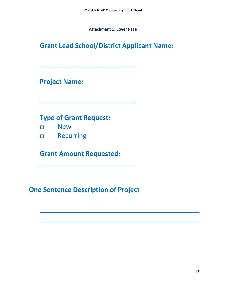**Attachment 1: Cover Page**

**Grant Lead School/District Applicant Name:**

**Project Name:**

# **Type of Grant Request:**

\_\_\_\_\_\_\_\_\_\_\_\_\_\_\_\_\_\_\_\_\_\_\_\_\_\_

\_\_\_\_\_\_\_\_\_\_\_\_\_\_\_\_\_\_\_\_\_\_\_\_\_\_

**□** New

**□** Recurring

**Grant Amount Requested:** 

**One Sentence Description of Project**

<u> 1989 - Andrea Santa Andrea Andrea Andrea Andrea Andrea Andrea Andrea Andrea Andrea Andrea Andrea Andrea Andr</u>

\_\_\_\_\_\_\_\_\_\_\_\_\_\_\_\_\_\_\_\_\_\_\_\_\_\_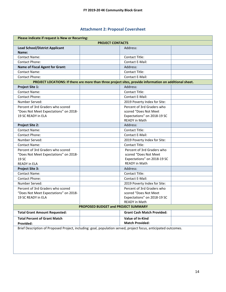# **Attachment 2: Proposal Coversheet**

| Please indicate if request is New or Recurring: |                                                                                                                 |  |  |  |  |  |  |  |
|-------------------------------------------------|-----------------------------------------------------------------------------------------------------------------|--|--|--|--|--|--|--|
| <b>PROJECT CONTACTS</b>                         |                                                                                                                 |  |  |  |  |  |  |  |
| <b>Lead School/District Applicant</b><br>Name:  | Address:                                                                                                        |  |  |  |  |  |  |  |
| <b>Contact Name:</b>                            | <b>Contact Title:</b>                                                                                           |  |  |  |  |  |  |  |
| Contact Phone:                                  | <b>Contact E-Mail:</b>                                                                                          |  |  |  |  |  |  |  |
| <b>Name of Fiscal Agent for Grant:</b>          | Address:                                                                                                        |  |  |  |  |  |  |  |
| <b>Contact Name:</b>                            | <b>Contact Title:</b>                                                                                           |  |  |  |  |  |  |  |
| <b>Contact Phone:</b>                           | <b>Contact E-Mail:</b>                                                                                          |  |  |  |  |  |  |  |
|                                                 | PROJECT LOCATIONS: If there are more than three project sites, provide information on additional sheet.         |  |  |  |  |  |  |  |
| Project Site 1:                                 | Address:                                                                                                        |  |  |  |  |  |  |  |
| <b>Contact Name:</b>                            | <b>Contact Title:</b>                                                                                           |  |  |  |  |  |  |  |
| <b>Contact Phone:</b>                           | <b>Contact E-Mail:</b>                                                                                          |  |  |  |  |  |  |  |
| Number Served:                                  | 2019 Poverty Index for Site:                                                                                    |  |  |  |  |  |  |  |
| Percent of 3rd Graders who scored               | Percent of 3rd Graders who                                                                                      |  |  |  |  |  |  |  |
| "Does Not Meet Expectations" on 2018-           | scored "Does Not Meet                                                                                           |  |  |  |  |  |  |  |
| 19 SC READY in ELA                              | Expectations" on 2018-19 SC                                                                                     |  |  |  |  |  |  |  |
|                                                 | <b>READY</b> in Math                                                                                            |  |  |  |  |  |  |  |
| <b>Project Site 2:</b>                          | Address:                                                                                                        |  |  |  |  |  |  |  |
| <b>Contact Name:</b>                            | <b>Contact Title:</b>                                                                                           |  |  |  |  |  |  |  |
| <b>Contact Phone:</b>                           | <b>Contact E-Mail:</b>                                                                                          |  |  |  |  |  |  |  |
| Number Served:                                  | 2019 Poverty Index for Site:                                                                                    |  |  |  |  |  |  |  |
| <b>Contact Name:</b>                            | <b>Contact Title:</b>                                                                                           |  |  |  |  |  |  |  |
| Percent of 3rd Graders who scored               | Percent of 3rd Graders who                                                                                      |  |  |  |  |  |  |  |
| "Does Not Meet Expectations" on 2018-           | scored "Does Not Meet                                                                                           |  |  |  |  |  |  |  |
| 19 SC                                           | Expectations" on 2018-19 SC                                                                                     |  |  |  |  |  |  |  |
| <b>READY in ELA</b>                             | <b>READY in Math</b>                                                                                            |  |  |  |  |  |  |  |
| <b>Project Site 3:</b>                          | Address:                                                                                                        |  |  |  |  |  |  |  |
| <b>Contact Name:</b>                            | <b>Contact Title:</b>                                                                                           |  |  |  |  |  |  |  |
| <b>Contact Phone:</b>                           | <b>Contact E-Mail:</b>                                                                                          |  |  |  |  |  |  |  |
| Number Served:                                  | 2019 Poverty Index for Site:                                                                                    |  |  |  |  |  |  |  |
| Percent of 3rd Graders who scored               | Percent of 3rd Graders who                                                                                      |  |  |  |  |  |  |  |
| "Does Not Meet Expectations" on 2018-           | scored "Does Not Meet                                                                                           |  |  |  |  |  |  |  |
| 19 SC READY in ELA                              | Expectations" on 2018-19 SC                                                                                     |  |  |  |  |  |  |  |
|                                                 | READY in Math                                                                                                   |  |  |  |  |  |  |  |
|                                                 | PROPOSED BUDGET and PROJECT SUMMARY                                                                             |  |  |  |  |  |  |  |
| <b>Total Grant Amount Requested:</b>            | <b>Grant Cash Match Provided:</b>                                                                               |  |  |  |  |  |  |  |
| <b>Total Percent of Grant Match</b>             | Value of In-Kind                                                                                                |  |  |  |  |  |  |  |
| Provided:                                       | <b>Match Provided:</b>                                                                                          |  |  |  |  |  |  |  |
|                                                 | Brief Description of Proposed Project, including: goal, population served, project focus, anticipated outcomes. |  |  |  |  |  |  |  |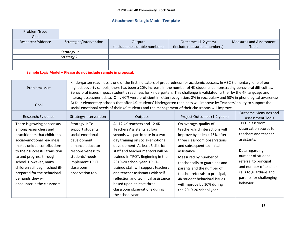# **Attachment 3: Logic Model Template**

| Problem/Issue     |                         |                              |                              |                                |
|-------------------|-------------------------|------------------------------|------------------------------|--------------------------------|
| Goal              |                         |                              |                              |                                |
| Research/Evidence | Strategies/Intervention | Outputs                      | Outcomes (1-2 years)         | <b>Measures and Assessment</b> |
|                   |                         | (include measurable numbers) | (include measurable numbers) | Tools                          |
|                   | Strategy 1:             |                              |                              |                                |
|                   | Strategy 2:             |                              |                              |                                |
|                   |                         |                              |                              |                                |
|                   |                         |                              |                              |                                |
|                   |                         |                              |                              |                                |

**Sample Logic Model – Please do not include sample in proposal.**

| Problem/Issue                                                                                                                                                                                                                                                                                                                                                 | Kindergarten readiness is one of the first indicators of preparedness for academic success. In ABC Elementary, one of our<br>highest poverty schools, there has been a 20% increase in the number of 4K students demonstrating behavioral difficulties.<br>Behavioral issues impact student's readiness for kindergarten. This challenge is validated further by the 4K language and<br>literacy assessment data. Only 60% were proficient in letter recognition, 8% in vocabulary and 53% in phonological awareness. |                                                                                                                                                                                                                                                                                                                                                                                                                                                                    |                                                                                                                                                                                                                                                                                                                                                                                            |                                                                                                                                                                                                                                            |  |  |  |  |  |  |
|---------------------------------------------------------------------------------------------------------------------------------------------------------------------------------------------------------------------------------------------------------------------------------------------------------------------------------------------------------------|-----------------------------------------------------------------------------------------------------------------------------------------------------------------------------------------------------------------------------------------------------------------------------------------------------------------------------------------------------------------------------------------------------------------------------------------------------------------------------------------------------------------------|--------------------------------------------------------------------------------------------------------------------------------------------------------------------------------------------------------------------------------------------------------------------------------------------------------------------------------------------------------------------------------------------------------------------------------------------------------------------|--------------------------------------------------------------------------------------------------------------------------------------------------------------------------------------------------------------------------------------------------------------------------------------------------------------------------------------------------------------------------------------------|--------------------------------------------------------------------------------------------------------------------------------------------------------------------------------------------------------------------------------------------|--|--|--|--|--|--|
| Goal                                                                                                                                                                                                                                                                                                                                                          | At four elementary schools that offer 4K, students' kindergarten readiness will improve by Teachers' ability to support the<br>social-emotional needs of their 4K students and the management of their classrooms will improve.                                                                                                                                                                                                                                                                                       |                                                                                                                                                                                                                                                                                                                                                                                                                                                                    |                                                                                                                                                                                                                                                                                                                                                                                            |                                                                                                                                                                                                                                            |  |  |  |  |  |  |
| Research/Evidence                                                                                                                                                                                                                                                                                                                                             | Strategy/Intervention                                                                                                                                                                                                                                                                                                                                                                                                                                                                                                 | Outputs                                                                                                                                                                                                                                                                                                                                                                                                                                                            | Project Outcomes (1-2 years)                                                                                                                                                                                                                                                                                                                                                               | <b>Outcome Measures and</b><br><b>Assessment Tools</b>                                                                                                                                                                                     |  |  |  |  |  |  |
| There is growing consensus<br>among researchers and<br>practitioners that children's<br>social-emotional readiness<br>makes unique contributions<br>to their successful transition<br>to and progress through<br>school. However, many<br>children still begin school ill-<br>prepared for the behavioral<br>demands they will<br>encounter in the classroom. | Strategy 1: To<br>support students'<br>social-emotional<br>development,<br>enhance educator<br>responsiveness to<br>students' needs.<br>Implement TPOT<br>classroom<br>observation tool.                                                                                                                                                                                                                                                                                                                              | All 12 4K teachers and 12 4K<br>Teachers Assistants at four<br>schools will participate in a two-<br>day training on social-emotional<br>development. At least 3 district<br>staff and teacher mentors will be<br>trained in TPOT. Beginning in the<br>2019-20 school year, TPOT-<br>trained staff will support teachers<br>and teacher assistants with self-<br>reflection and technical assistance<br>based upon at least three<br>classroom observations during | On average, quality of<br>teacher-child interactions will<br>improve by at least 15% after<br>three classroom observations<br>and subsequent technical<br>assistance.<br>Measured by number of<br>teacher calls to guardians and<br>parents and the number of<br>teacher referrals to principal,<br>4K student behavioral issues<br>will improve by 10% during<br>the 2019-20 school year. | TPOT classroom<br>observation scores for<br>teachers and teacher<br>assistants.<br>Data regarding<br>number of student<br>referral to principal<br>and number of teacher<br>calls to guardians and<br>parents for challenging<br>behavior. |  |  |  |  |  |  |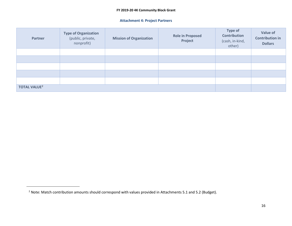# <span id="page-16-0"></span>**Attachment 4: Project Partners**

| <b>Partner</b>                 | <b>Type of Organization</b><br>(public, private,<br>nonprofit) | <b>Mission of Organization</b> | <b>Role in Proposed</b><br>Project | <b>Type of</b><br><b>Contribution</b><br>(cash, in-kind,<br>other) | <b>Value of</b><br><b>Contribution in</b><br><b>Dollars</b> |
|--------------------------------|----------------------------------------------------------------|--------------------------------|------------------------------------|--------------------------------------------------------------------|-------------------------------------------------------------|
|                                |                                                                |                                |                                    |                                                                    |                                                             |
|                                |                                                                |                                |                                    |                                                                    |                                                             |
|                                |                                                                |                                |                                    |                                                                    |                                                             |
|                                |                                                                |                                |                                    |                                                                    |                                                             |
|                                |                                                                |                                |                                    |                                                                    |                                                             |
| <b>TOTAL VALUE<sup>2</sup></b> |                                                                |                                |                                    |                                                                    |                                                             |

l

<sup>&</sup>lt;sup>2</sup> Note: Match contribution amounts should correspond with values provided in Attachments 5.1 and 5.2 (Budget).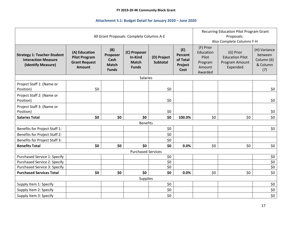# **Attachment 5.1: Budget Detail for January 2020 – June 2020**

| All Grant Proposals: Complete Columns A-E                                              |                                                                                |                                                         |                                                         |                                |                                                      | Recurring Education Pilot Program Grant<br>Proposals:<br>Also Complete Columns F-H |                                                                   |                                                          |
|----------------------------------------------------------------------------------------|--------------------------------------------------------------------------------|---------------------------------------------------------|---------------------------------------------------------|--------------------------------|------------------------------------------------------|------------------------------------------------------------------------------------|-------------------------------------------------------------------|----------------------------------------------------------|
| <b>Strategy 1: Teacher-Student</b><br><b>Interaction Measure</b><br>(Identify Measure) | (A) Education<br><b>Pilot Program</b><br><b>Grant Request</b><br><b>Amount</b> | (B)<br>Proposer<br>Cash<br><b>Match</b><br><b>Funds</b> | (C) Proposer<br>In-Kind<br><b>Match</b><br><b>Funds</b> | (D) Project<br><b>Subtotal</b> | (E)<br><b>Percent</b><br>of Total<br>Project<br>Cost | (F) Prior<br>Education<br>Pilot<br>Program<br>Amount<br>Awarded                    | (G) Prior<br><b>Education Pilot</b><br>Program Amount<br>Expended | (H) Variance<br>between<br>Column (6)<br>& Column<br>(7) |
|                                                                                        |                                                                                |                                                         | <b>Salaries</b>                                         |                                |                                                      |                                                                                    |                                                                   |                                                          |
| Project Staff 1: (Name or<br>Position)                                                 | \$0                                                                            |                                                         |                                                         | \$0                            |                                                      |                                                                                    |                                                                   | \$0                                                      |
| Project Staff 2: (Name or<br>Position)                                                 |                                                                                |                                                         |                                                         | \$0                            |                                                      |                                                                                    |                                                                   | \$0                                                      |
| Project Staff 3: (Name or<br>Position)                                                 |                                                                                |                                                         |                                                         | \$0                            |                                                      |                                                                                    |                                                                   | \$0                                                      |
| <b>Salaries Total</b>                                                                  | \$0                                                                            | \$0                                                     | \$0                                                     | \$0                            | 100.0%                                               | \$0                                                                                | \$0                                                               | \$0                                                      |
|                                                                                        |                                                                                |                                                         | <b>Benefits</b>                                         |                                |                                                      |                                                                                    |                                                                   |                                                          |
| Benefits for Project Staff 1:                                                          |                                                                                |                                                         |                                                         | \$0                            |                                                      |                                                                                    |                                                                   | \$0                                                      |
| Benefits for Project Staff 2:                                                          |                                                                                |                                                         |                                                         | \$0                            |                                                      |                                                                                    |                                                                   |                                                          |
| <b>Benefits for Project Staff 3:</b>                                                   |                                                                                |                                                         |                                                         | \$0                            |                                                      |                                                                                    |                                                                   |                                                          |
| <b>Benefits Total</b>                                                                  | \$0                                                                            | \$0                                                     | \$0                                                     | \$0                            | 0.0%                                                 | \$0                                                                                | \$0                                                               | \$0                                                      |
|                                                                                        |                                                                                |                                                         | <b>Purchased Services</b>                               |                                |                                                      |                                                                                    |                                                                   |                                                          |
| Purchased Service 1: Specify                                                           |                                                                                |                                                         |                                                         | \$0                            |                                                      |                                                                                    |                                                                   | \$0                                                      |
| Purchased Service 2: Specify                                                           |                                                                                |                                                         |                                                         | \$0                            |                                                      |                                                                                    |                                                                   | $\overline{\xi}$                                         |
| Purchased Service 3: Specify                                                           |                                                                                |                                                         |                                                         | $\overline{\xi_0}$             |                                                      |                                                                                    |                                                                   | $\overline{\xi_0}$                                       |
| <b>Purchased Services Total</b>                                                        | \$0                                                                            | \$0                                                     | \$0                                                     | \$0                            | 0.0%                                                 | \$0                                                                                | \$0                                                               | \$0                                                      |
|                                                                                        |                                                                                |                                                         | <b>Supplies</b>                                         |                                |                                                      |                                                                                    |                                                                   |                                                          |
| Supply Item 1: Specify                                                                 |                                                                                |                                                         |                                                         | \$0                            |                                                      |                                                                                    |                                                                   | \$0                                                      |
| Supply Item 2: Specify                                                                 |                                                                                |                                                         |                                                         | \$0                            |                                                      |                                                                                    |                                                                   | $$0$$                                                    |
| Supply Item 3: Specify                                                                 |                                                                                |                                                         |                                                         | \$0                            |                                                      |                                                                                    |                                                                   | \$0                                                      |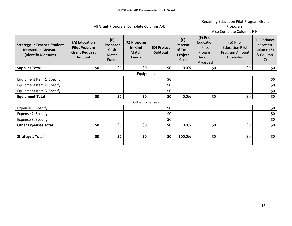| All Grant Proposals: Complete Columns A-E                                              |                                                                                |                                                         |                                                         |                                |                                                      | Recurring Education Pilot Program Grant<br>Proposals:<br>Also Complete Columns F-H |                                                                   |                                                          |
|----------------------------------------------------------------------------------------|--------------------------------------------------------------------------------|---------------------------------------------------------|---------------------------------------------------------|--------------------------------|------------------------------------------------------|------------------------------------------------------------------------------------|-------------------------------------------------------------------|----------------------------------------------------------|
| <b>Strategy 1: Teacher-Student</b><br><b>Interaction Measure</b><br>(Identify Measure) | (A) Education<br><b>Pilot Program</b><br><b>Grant Request</b><br><b>Amount</b> | (B)<br>Proposer<br>Cash<br><b>Match</b><br><b>Funds</b> | (C) Proposer<br>In-Kind<br><b>Match</b><br><b>Funds</b> | (D) Project<br><b>Subtotal</b> | (E)<br><b>Percent</b><br>of Total<br>Project<br>Cost | (F) Prior<br>Education<br>Pilot<br>Program<br>Amount<br>Awarded                    | (G) Prior<br><b>Education Pilot</b><br>Program Amount<br>Expended | (H) Variance<br>between<br>Column (6)<br>& Column<br>(7) |
| <b>Supplies Total</b>                                                                  | \$0                                                                            | \$0                                                     | \$0                                                     | \$0                            | 0.0%                                                 | \$0                                                                                | \$0                                                               | \$0                                                      |
|                                                                                        |                                                                                |                                                         | Equipment                                               |                                |                                                      |                                                                                    |                                                                   |                                                          |
| Equipment Item 1: Specify                                                              |                                                                                |                                                         |                                                         | \$0                            |                                                      |                                                                                    |                                                                   | \$0                                                      |
| Equipment Item 2: Specify                                                              |                                                                                |                                                         |                                                         | \$0                            |                                                      |                                                                                    |                                                                   | \$0                                                      |
| Equipment Item 3: Specify                                                              |                                                                                |                                                         |                                                         | \$0                            |                                                      |                                                                                    |                                                                   | \$0                                                      |
| <b>Equipment Total</b>                                                                 | \$0                                                                            | \$0                                                     | \$0                                                     | \$0                            | 0.0%                                                 | \$0                                                                                | \$0                                                               | \$0                                                      |
|                                                                                        |                                                                                |                                                         | <b>Other Expenses</b>                                   |                                |                                                      |                                                                                    |                                                                   |                                                          |
| Expense 1: Specify                                                                     |                                                                                |                                                         |                                                         | \$0                            |                                                      |                                                                                    |                                                                   | \$0                                                      |
| Expense 2: Specify                                                                     |                                                                                |                                                         |                                                         | \$0                            |                                                      |                                                                                    |                                                                   | \$0                                                      |
| Expense 3: Specify                                                                     |                                                                                |                                                         |                                                         | \$0                            |                                                      |                                                                                    |                                                                   | \$0                                                      |
| <b>Other Expenses Total</b>                                                            | \$0                                                                            | \$0                                                     | \$0                                                     | \$0                            | 0.0%                                                 | \$0                                                                                | \$0                                                               | \$0                                                      |
|                                                                                        |                                                                                |                                                         |                                                         |                                |                                                      |                                                                                    |                                                                   |                                                          |
| <b>Strategy 1 Total</b>                                                                | \$0                                                                            | \$0                                                     | \$0                                                     | \$0                            | 100.0%                                               | \$0                                                                                | \$0                                                               | \$0                                                      |
|                                                                                        |                                                                                |                                                         |                                                         |                                |                                                      |                                                                                    |                                                                   |                                                          |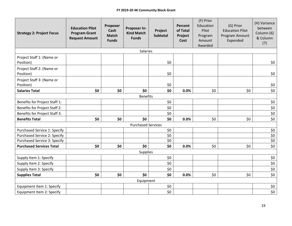| <b>Strategy 2: Project Focus</b>       | <b>Education Pilot</b><br><b>Program Grant</b><br><b>Request Amount</b> | Proposer<br>Cash<br><b>Match</b><br><b>Funds</b> | Proposer In-<br><b>Kind Match</b><br><b>Funds</b> | Project<br><b>Subtotal</b> | <b>Percent</b><br>of Total<br>Project<br>Cost | (F) Prior<br>Education<br>Pilot<br>Program<br>Amount<br>Awarded | (G) Prior<br><b>Education Pilot</b><br>Program Amount<br>Expended | (H) Variance<br>between<br>Column (6)<br>& Column<br>(7) |
|----------------------------------------|-------------------------------------------------------------------------|--------------------------------------------------|---------------------------------------------------|----------------------------|-----------------------------------------------|-----------------------------------------------------------------|-------------------------------------------------------------------|----------------------------------------------------------|
|                                        |                                                                         |                                                  | <b>Salaries</b>                                   |                            |                                               |                                                                 |                                                                   |                                                          |
| Project Staff 1: (Name or<br>Position) |                                                                         |                                                  |                                                   | \$0                        |                                               |                                                                 |                                                                   | \$0                                                      |
| Project Staff 2: (Name or<br>Position) |                                                                         |                                                  |                                                   | \$0                        |                                               |                                                                 |                                                                   | \$0                                                      |
| Project Staff 3: (Name or<br>Position) |                                                                         |                                                  |                                                   | \$0                        |                                               |                                                                 |                                                                   | \$0                                                      |
| <b>Salaries Total</b>                  | \$0                                                                     | \$0                                              | \$0                                               | \$0                        | 0.0%                                          | \$0                                                             | \$0                                                               | \$0                                                      |
|                                        |                                                                         |                                                  | <b>Benefits</b>                                   |                            |                                               |                                                                 |                                                                   |                                                          |
| Benefits for Project Staff 1:          |                                                                         |                                                  |                                                   | \$0                        |                                               |                                                                 |                                                                   | \$0                                                      |
| Benefits for Project Staff 2:          |                                                                         |                                                  |                                                   | \$0                        |                                               |                                                                 |                                                                   | $$0$$                                                    |
| Benefits for Project Staff 3:          |                                                                         |                                                  |                                                   | \$0                        |                                               |                                                                 |                                                                   | $$0$$                                                    |
| <b>Benefits Total</b>                  | \$0                                                                     | \$0                                              | \$0                                               | \$0                        | 0.0%                                          | \$0                                                             | \$0                                                               | \$0                                                      |
|                                        |                                                                         |                                                  | <b>Purchased Services</b>                         |                            |                                               |                                                                 |                                                                   |                                                          |
| Purchased Service 1: Specify           |                                                                         |                                                  |                                                   | \$0                        |                                               |                                                                 |                                                                   | \$0                                                      |
| Purchased Service 2: Specify           |                                                                         |                                                  |                                                   | \$0                        |                                               |                                                                 |                                                                   | $$0$$                                                    |
| Purchased Service 3: Specify           |                                                                         |                                                  |                                                   | \$0\$                      |                                               |                                                                 |                                                                   | $\overline{50}$                                          |
| <b>Purchased Services Total</b>        | \$0                                                                     | \$0                                              | \$0                                               | \$0                        | 0.0%                                          | \$0                                                             | \$0                                                               | \$0                                                      |
|                                        |                                                                         |                                                  | <b>Supplies</b>                                   |                            |                                               |                                                                 |                                                                   |                                                          |
| Supply Item 1: Specify                 |                                                                         |                                                  |                                                   | \$0                        |                                               |                                                                 |                                                                   | \$0                                                      |
| Supply Item 2: Specify                 |                                                                         |                                                  |                                                   | \$0                        |                                               |                                                                 |                                                                   | \$0                                                      |
| Supply Item 3: Specify                 |                                                                         |                                                  |                                                   | \$0                        |                                               |                                                                 |                                                                   | \$0                                                      |
| <b>Supplies Total</b>                  | \$0                                                                     | \$0                                              | \$0                                               | \$0                        | 0.0%                                          | \$0                                                             | \$0                                                               | \$0                                                      |
|                                        |                                                                         |                                                  | Equipment                                         |                            |                                               |                                                                 |                                                                   |                                                          |
| Equipment Item 1: Specify              |                                                                         |                                                  |                                                   | \$0                        |                                               |                                                                 |                                                                   | \$0                                                      |
| Equipment Item 2: Specify              |                                                                         |                                                  |                                                   | \$0                        |                                               |                                                                 |                                                                   | \$0                                                      |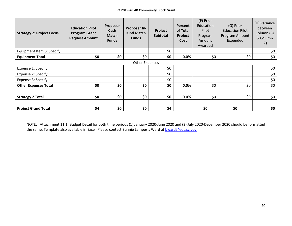| <b>Strategy 2: Project Focus</b> | <b>Education Pilot</b><br><b>Program Grant</b><br><b>Request Amount</b> | Proposer<br>Cash<br><b>Match</b><br><b>Funds</b> | <b>Proposer In-</b><br><b>Kind Match</b><br><b>Funds</b> | Project<br><b>Subtotal</b> | Percent<br>of Total<br>Project<br>Cost | (F) Prior<br>Education<br>Pilot<br>Program<br>Amount<br>Awarded | (G) Prior<br><b>Education Pilot</b><br>Program Amount<br>Expended | (H) Variance<br>between<br>Column (6)<br>& Column<br>(7) |
|----------------------------------|-------------------------------------------------------------------------|--------------------------------------------------|----------------------------------------------------------|----------------------------|----------------------------------------|-----------------------------------------------------------------|-------------------------------------------------------------------|----------------------------------------------------------|
| Equipment Item 3: Specify        |                                                                         |                                                  |                                                          | \$0                        |                                        |                                                                 |                                                                   | \$0                                                      |
| <b>Equipment Total</b>           | \$0                                                                     | \$0                                              | \$0                                                      | \$0                        | $0.0\%$                                | \$0                                                             | \$0                                                               | \$0                                                      |
|                                  |                                                                         |                                                  | Other Expenses                                           |                            |                                        |                                                                 |                                                                   |                                                          |
| Expense 1: Specify               |                                                                         |                                                  |                                                          | \$0                        |                                        |                                                                 |                                                                   | \$0                                                      |
| Expense 2: Specify               |                                                                         |                                                  |                                                          | \$0                        |                                        |                                                                 |                                                                   | \$0                                                      |
| Expense 3: Specify               |                                                                         |                                                  |                                                          | \$0                        |                                        |                                                                 |                                                                   | \$0                                                      |
| <b>Other Expenses Total</b>      | \$0                                                                     | \$0                                              | \$0                                                      | \$0                        | 0.0%                                   | \$0                                                             | \$0                                                               | \$0                                                      |
|                                  |                                                                         |                                                  |                                                          |                            |                                        |                                                                 |                                                                   |                                                          |
| <b>Strategy 2 Total</b>          | \$0                                                                     | \$0                                              | \$0                                                      | \$0                        | $0.0\%$                                | \$0                                                             | \$0                                                               | \$0                                                      |
|                                  |                                                                         |                                                  |                                                          |                            |                                        |                                                                 |                                                                   |                                                          |
| <b>Project Grand Total</b>       | \$4                                                                     | \$0                                              | \$0                                                      | \$4                        |                                        | \$0                                                             | \$0                                                               | \$0                                                      |

NOTE: Attachment 11.1: Budget Detail for both time periods (1) January 2020-June 2020 and (2) July 2020-December 2020 should be formatted the same. Template also available in Excel. Please contact Bunnie Lempesis Ward at **bward@eoc.sc.gov.**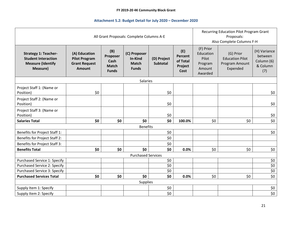# **Attachment 5.2: Budget Detail for July 2020 – December 2020**

| All Grant Proposals: Complete Columns A-E                                                         |                                                                                |                                                         |                                                         |                         |                                               | <b>Recurring Education Pilot Program Grant</b><br>Proposals:<br>Also Complete Columns F-H |                                                                   |                                                          |
|---------------------------------------------------------------------------------------------------|--------------------------------------------------------------------------------|---------------------------------------------------------|---------------------------------------------------------|-------------------------|-----------------------------------------------|-------------------------------------------------------------------------------------------|-------------------------------------------------------------------|----------------------------------------------------------|
| <b>Strategy 1: Teacher-</b><br><b>Student Interaction</b><br><b>Measure (Identify</b><br>Measure) | (A) Education<br><b>Pilot Program</b><br><b>Grant Request</b><br><b>Amount</b> | (B)<br>Proposer<br>Cash<br><b>Match</b><br><b>Funds</b> | (C) Proposer<br>In-Kind<br><b>Match</b><br><b>Funds</b> | (D) Project<br>Subtotal | (E)<br>Percent<br>of Total<br>Project<br>Cost | (F) Prior<br>Education<br>Pilot<br>Program<br>Amount<br>Awarded                           | (G) Prior<br><b>Education Pilot</b><br>Program Amount<br>Expended | (H) Variance<br>between<br>Column (6)<br>& Column<br>(7) |
|                                                                                                   |                                                                                |                                                         | <b>Salaries</b>                                         |                         |                                               |                                                                                           |                                                                   |                                                          |
| Project Staff 1: (Name or<br>Position)                                                            | \$0                                                                            |                                                         |                                                         | \$0                     |                                               |                                                                                           |                                                                   | \$0                                                      |
| Project Staff 2: (Name or<br>Position)                                                            |                                                                                |                                                         |                                                         | \$0                     |                                               |                                                                                           |                                                                   | \$0                                                      |
| Project Staff 3: (Name or<br>Position)                                                            |                                                                                |                                                         |                                                         | \$0                     |                                               |                                                                                           |                                                                   | \$0                                                      |
| <b>Salaries Total</b>                                                                             | \$0                                                                            | \$0                                                     | \$0                                                     | \$0                     | 100.0%                                        | \$0                                                                                       | \$0                                                               | \$0\$                                                    |
|                                                                                                   |                                                                                |                                                         | <b>Benefits</b>                                         |                         |                                               |                                                                                           |                                                                   |                                                          |
| Benefits for Project Staff 1:                                                                     |                                                                                |                                                         |                                                         | \$0                     |                                               |                                                                                           |                                                                   | \$0                                                      |
| Benefits for Project Staff 2:                                                                     |                                                                                |                                                         |                                                         | \$0                     |                                               |                                                                                           |                                                                   |                                                          |
| <b>Benefits for Project Staff 3:</b>                                                              |                                                                                |                                                         |                                                         | \$0                     |                                               |                                                                                           |                                                                   |                                                          |
| <b>Benefits Total</b>                                                                             | \$0                                                                            | \$0                                                     | \$0                                                     | \$0                     | 0.0%                                          | \$0                                                                                       | \$0                                                               | \$0                                                      |
|                                                                                                   |                                                                                |                                                         | <b>Purchased Services</b>                               |                         |                                               |                                                                                           |                                                                   |                                                          |
| Purchased Service 1: Specify                                                                      |                                                                                |                                                         |                                                         | \$0                     |                                               |                                                                                           |                                                                   | $$0$$                                                    |
| Purchased Service 2: Specify                                                                      |                                                                                |                                                         |                                                         | $\overline{50}$         |                                               |                                                                                           |                                                                   | \$0                                                      |
| Purchased Service 3: Specify                                                                      |                                                                                |                                                         |                                                         | \$0                     |                                               |                                                                                           |                                                                   | $\overline{\xi_0}$                                       |
| <b>Purchased Services Total</b>                                                                   | \$0                                                                            | \$0                                                     | \$0                                                     | \$0                     | 0.0%                                          | \$0                                                                                       | \$0                                                               | \$0\$                                                    |
|                                                                                                   |                                                                                |                                                         | Supplies                                                |                         |                                               |                                                                                           |                                                                   |                                                          |
| Supply Item 1: Specify                                                                            |                                                                                |                                                         |                                                         | \$0                     |                                               |                                                                                           |                                                                   | \$0                                                      |
| Supply Item 2: Specify                                                                            |                                                                                |                                                         |                                                         | \$0                     |                                               |                                                                                           |                                                                   | \$0\$                                                    |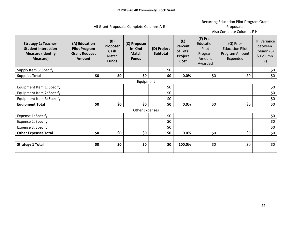| All Grant Proposals: Complete Columns A-E                                                                |                                                                         |                                                         |                                                         |                                |                                                      | Recurring Education Pilot Program Grant<br>Proposals:<br>Also Complete Columns F-H |                                                                   |                                                          |  |
|----------------------------------------------------------------------------------------------------------|-------------------------------------------------------------------------|---------------------------------------------------------|---------------------------------------------------------|--------------------------------|------------------------------------------------------|------------------------------------------------------------------------------------|-------------------------------------------------------------------|----------------------------------------------------------|--|
| <b>Strategy 1: Teacher-</b><br><b>Student Interaction</b><br><b>Measure (Identify</b><br><b>Measure)</b> | (A) Education<br><b>Pilot Program</b><br><b>Grant Request</b><br>Amount | (B)<br>Proposer<br>Cash<br><b>Match</b><br><b>Funds</b> | (C) Proposer<br>In-Kind<br><b>Match</b><br><b>Funds</b> | (D) Project<br><b>Subtotal</b> | (E)<br><b>Percent</b><br>of Total<br>Project<br>Cost | (F) Prior<br>Education<br>Pilot<br>Program<br>Amount<br>Awarded                    | (G) Prior<br><b>Education Pilot</b><br>Program Amount<br>Expended | (H) Variance<br>between<br>Column (6)<br>& Column<br>(7) |  |
| Supply Item 3: Specify                                                                                   |                                                                         |                                                         |                                                         | \$0                            |                                                      |                                                                                    |                                                                   | \$0                                                      |  |
| <b>Supplies Total</b>                                                                                    | \$0                                                                     | \$0                                                     | \$0                                                     | \$0                            | 0.0%                                                 | \$0<br>\$0                                                                         |                                                                   |                                                          |  |
|                                                                                                          |                                                                         |                                                         | Equipment                                               |                                |                                                      |                                                                                    |                                                                   |                                                          |  |
| Equipment Item 1: Specify                                                                                |                                                                         |                                                         |                                                         | \$0                            |                                                      |                                                                                    |                                                                   | \$0                                                      |  |
| Equipment Item 2: Specify                                                                                |                                                                         |                                                         |                                                         | \$0                            |                                                      |                                                                                    |                                                                   | \$0                                                      |  |
| Equipment Item 3: Specify                                                                                |                                                                         |                                                         |                                                         | \$0                            |                                                      |                                                                                    |                                                                   | \$0                                                      |  |
| <b>Equipment Total</b>                                                                                   | \$0                                                                     | \$0                                                     | \$0                                                     | \$0                            | 0.0%                                                 | \$0                                                                                | \$0                                                               | \$0                                                      |  |
|                                                                                                          |                                                                         |                                                         | <b>Other Expenses</b>                                   |                                |                                                      |                                                                                    |                                                                   |                                                          |  |
| Expense 1: Specify                                                                                       |                                                                         |                                                         |                                                         | \$0                            |                                                      |                                                                                    |                                                                   | \$0                                                      |  |
| Expense 2: Specify                                                                                       |                                                                         |                                                         |                                                         | \$0                            |                                                      |                                                                                    |                                                                   | \$0                                                      |  |
| Expense 3: Specify                                                                                       |                                                                         |                                                         |                                                         | \$0                            |                                                      |                                                                                    |                                                                   | \$0                                                      |  |
| <b>Other Expenses Total</b>                                                                              | \$0                                                                     | \$0                                                     | \$0                                                     | \$0                            | 0.0%                                                 | \$0                                                                                | \$0                                                               | \$0                                                      |  |
|                                                                                                          |                                                                         |                                                         |                                                         |                                |                                                      |                                                                                    |                                                                   |                                                          |  |
| <b>Strategy 1 Total</b>                                                                                  | \$0                                                                     | \$0                                                     | \$0                                                     | \$0\$                          | 100.0%                                               | \$0<br>\$0<br>\$0                                                                  |                                                                   |                                                          |  |
|                                                                                                          |                                                                         |                                                         |                                                         |                                |                                                      |                                                                                    |                                                                   |                                                          |  |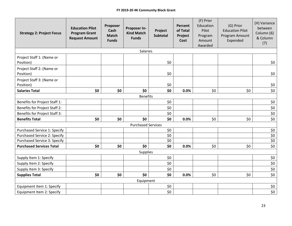| <b>Strategy 2: Project Focus</b>       | <b>Education Pilot</b><br><b>Program Grant</b><br><b>Request Amount</b> | Proposer<br>Cash<br><b>Match</b><br><b>Funds</b> | Proposer In-<br><b>Kind Match</b><br><b>Funds</b> | Project<br><b>Subtotal</b> | <b>Percent</b><br>of Total<br>Project<br>Cost | (F) Prior<br>Education<br>Pilot<br>Program<br>Amount<br>Awarded | (G) Prior<br><b>Education Pilot</b><br>Program Amount<br>Expended | (H) Variance<br>between<br>Column (6)<br>& Column<br>(7) |
|----------------------------------------|-------------------------------------------------------------------------|--------------------------------------------------|---------------------------------------------------|----------------------------|-----------------------------------------------|-----------------------------------------------------------------|-------------------------------------------------------------------|----------------------------------------------------------|
|                                        |                                                                         |                                                  | <b>Salaries</b>                                   |                            |                                               |                                                                 |                                                                   |                                                          |
| Project Staff 1: (Name or<br>Position) |                                                                         |                                                  |                                                   | \$0                        |                                               |                                                                 |                                                                   | \$0                                                      |
| Project Staff 2: (Name or<br>Position) |                                                                         |                                                  |                                                   | \$0                        |                                               |                                                                 |                                                                   | \$0                                                      |
| Project Staff 3: (Name or<br>Position) |                                                                         |                                                  |                                                   | \$0                        |                                               |                                                                 |                                                                   | \$0                                                      |
| <b>Salaries Total</b>                  | \$0                                                                     | \$0                                              | \$0                                               | \$0                        | 0.0%                                          | \$0                                                             | \$0                                                               | \$0                                                      |
|                                        |                                                                         |                                                  | <b>Benefits</b>                                   |                            |                                               |                                                                 |                                                                   |                                                          |
| Benefits for Project Staff 1:          |                                                                         |                                                  |                                                   | \$0                        |                                               |                                                                 |                                                                   | \$0                                                      |
| Benefits for Project Staff 2:          |                                                                         |                                                  |                                                   | \$0                        |                                               |                                                                 |                                                                   | $$0$$                                                    |
| Benefits for Project Staff 3:          |                                                                         |                                                  |                                                   | \$0                        |                                               |                                                                 |                                                                   | $$0$$                                                    |
| <b>Benefits Total</b>                  | \$0                                                                     | \$0                                              | \$0                                               | \$0                        | 0.0%                                          | \$0                                                             | \$0                                                               | \$0                                                      |
|                                        |                                                                         |                                                  | <b>Purchased Services</b>                         |                            |                                               |                                                                 |                                                                   |                                                          |
| Purchased Service 1: Specify           |                                                                         |                                                  |                                                   | \$0                        |                                               |                                                                 |                                                                   | \$0                                                      |
| Purchased Service 2: Specify           |                                                                         |                                                  |                                                   | \$0                        |                                               |                                                                 |                                                                   | $$0$$                                                    |
| Purchased Service 3: Specify           |                                                                         |                                                  |                                                   | \$0\$                      |                                               |                                                                 |                                                                   | $\overline{50}$                                          |
| <b>Purchased Services Total</b>        | \$0                                                                     | \$0                                              | \$0                                               | \$0                        | 0.0%                                          | \$0                                                             | \$0                                                               | \$0                                                      |
|                                        |                                                                         |                                                  | <b>Supplies</b>                                   |                            |                                               |                                                                 |                                                                   |                                                          |
| Supply Item 1: Specify                 |                                                                         |                                                  |                                                   | \$0                        |                                               |                                                                 |                                                                   | \$0                                                      |
| Supply Item 2: Specify                 |                                                                         |                                                  |                                                   | \$0                        |                                               |                                                                 |                                                                   | \$0                                                      |
| Supply Item 3: Specify                 |                                                                         |                                                  |                                                   | \$0                        |                                               |                                                                 |                                                                   | \$0                                                      |
| <b>Supplies Total</b>                  | \$0                                                                     | \$0                                              | \$0                                               | \$0                        | 0.0%                                          | \$0                                                             | \$0                                                               | \$0                                                      |
|                                        |                                                                         |                                                  | Equipment                                         |                            |                                               |                                                                 |                                                                   |                                                          |
| Equipment Item 1: Specify              |                                                                         |                                                  |                                                   | \$0                        |                                               |                                                                 |                                                                   | \$0                                                      |
| Equipment Item 2: Specify              |                                                                         |                                                  |                                                   | \$0                        |                                               |                                                                 |                                                                   | \$0                                                      |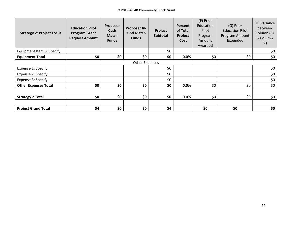| <b>Strategy 2: Project Focus</b> | <b>Education Pilot</b><br><b>Program Grant</b><br><b>Request Amount</b> | Proposer<br>Cash<br><b>Match</b><br><b>Funds</b> | <b>Proposer In-</b><br><b>Kind Match</b><br><b>Funds</b> | Project<br><b>Subtotal</b> | Percent<br>of Total<br>Project<br>Cost | (F) Prior<br>Education<br>Pilot<br>Program<br>Amount<br>Awarded | (G) Prior<br><b>Education Pilot</b><br>Program Amount<br>Expended | (H) Variance<br>between<br>Column (6)<br>& Column<br>(7) |
|----------------------------------|-------------------------------------------------------------------------|--------------------------------------------------|----------------------------------------------------------|----------------------------|----------------------------------------|-----------------------------------------------------------------|-------------------------------------------------------------------|----------------------------------------------------------|
| Equipment Item 3: Specify        |                                                                         |                                                  |                                                          | \$0                        |                                        |                                                                 |                                                                   | \$0                                                      |
| <b>Equipment Total</b>           | \$0                                                                     | \$0                                              | \$0                                                      | \$0                        | 0.0%                                   | \$0                                                             | \$0                                                               | \$0                                                      |
|                                  |                                                                         |                                                  | <b>Other Expenses</b>                                    |                            |                                        |                                                                 |                                                                   |                                                          |
| Expense 1: Specify               |                                                                         |                                                  |                                                          | \$0                        |                                        |                                                                 |                                                                   | \$0                                                      |
| Expense 2: Specify               |                                                                         |                                                  |                                                          | \$0                        |                                        |                                                                 |                                                                   | \$0                                                      |
| Expense 3: Specify               |                                                                         |                                                  |                                                          | \$0                        |                                        |                                                                 |                                                                   | \$0                                                      |
| <b>Other Expenses Total</b>      | \$0                                                                     | \$0                                              | \$0                                                      | \$0                        | 0.0%                                   | \$0                                                             | \$0                                                               | \$0                                                      |
|                                  |                                                                         |                                                  |                                                          |                            |                                        |                                                                 |                                                                   |                                                          |
| <b>Strategy 2 Total</b>          | \$0                                                                     | \$0                                              | \$0                                                      | \$0                        | 0.0%                                   | \$0                                                             | \$0                                                               | \$0\$                                                    |
|                                  |                                                                         |                                                  |                                                          |                            |                                        |                                                                 |                                                                   |                                                          |
| <b>Project Grand Total</b>       | \$4                                                                     | \$0                                              | \$0                                                      | \$4                        |                                        | \$0                                                             | \$0                                                               | \$0                                                      |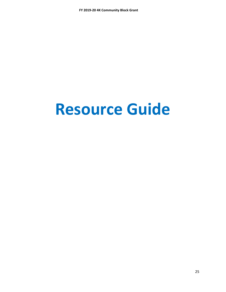# **Resource Guide**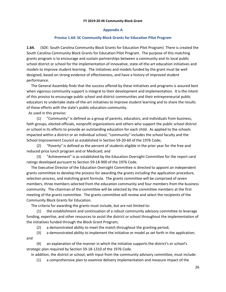# **Appendix A**

# **Proviso 1.64: SC Community Block Grants for Education Pilot Program**

**1.64.** (SDE: South Carolina Community Block Grants for Education Pilot Program) There is created the South Carolina Community Block Grants for Education Pilot Program. The purpose of this matching grants program is to encourage and sustain partnerships between a community and its local public school district or school for the implementation of innovative, state-of-the-art education initiatives and models to improve student learning. The initiatives and models funded by the grant must be well designed, based on strong evidence of effectiveness, and have a history of improved student performance.

 The General Assembly finds that the success offered by these initiatives and programs is assured best when vigorous community support is integral to their development and implementation. It is the intent of this proviso to encourage public school and district communities and their entrepreneurial public educators to undertake state-of-the-art initiatives to improve student learning and to share the results of these efforts with the state's public education community.

As used in this proviso:

 (1) "Community" is defined as a group of parents, educators, and individuals from business, faith groups, elected officials, nonprofit organizations and others who support the public school district or school in its efforts to provide an outstanding education for each child. As applied to the schools impacted within a district or an individual school, "community" includes the school faculty and the School Improvement Council as established in Section 59-20-60 of the 1976 Code;

 (2) "Poverty" is defined as the percent of students eligible in the prior year for the free and reduced price lunch program and or Medicaid; and

 (3) "Achievement" is as established by the Education Oversight Committee for the report card ratings developed pursuant to Section 59-18-900 of the 1976 Code.

 The Executive Director of the Education Oversight Committee is directed to appoint an independent grants committee to develop the process for awarding the grants including the application procedure, selection process, and matching grant formula. The grants committee will be comprised of seven members, three members selected from the education community and four members from the business community. The chairman of the committee will be selected by the committee members at the first meeting of the grants committee. The grants committee will review and select the recipients of the Community Block Grants for Education.

The criteria for awarding the grants must include, but are not limited to:

 (1) the establishment and continuation of a robust community advisory committee to leverage funding, expertise, and other resources to assist the district or school throughout the implementation of the initiatives funded through the Block Grant Program;

(2) a demonstrated ability to meet the match throughout the granting period;

 (3) a demonstrated ability to implement the initiative or model as set forth in the application; and

 (4) an explanation of the manner in which the initiative supports the district's or school's strategic plan required by Section 59-18-1310 of the 1976 Code.

In addition, the district or school, with input from the community advisory committee, must include:

(1) a comprehensive plan to examine delivery implementation and measure impact of the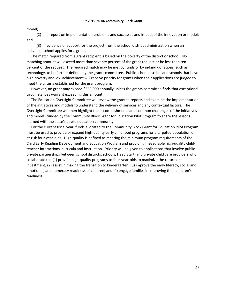model;

 (2) a report on implementation problems and successes and impact of the innovation or model; and

 (3) evidence of support for the project from the school district administration when an individual school applies for a grant.

 The match required from a grant recipient is based on the poverty of the district or school. No matching amount will exceed more than seventy percent of the grant request or be less than ten percent of the request. The required match may be met by funds or by in-kind donations, such as technology, to be further defined by the grants committee. Public school districts and schools that have high poverty and low achievement will receive priority for grants when their applications are judged to meet the criteria established for the grant program.

 However, no grant may exceed \$250,000 annually unless the grants committee finds that exceptional circumstances warrant exceeding this amount.

 The Education Oversight Committee will review the grantee reports and examine the implementation of the initiatives and models to understand the delivery of services and any contextual factors. The Oversight Committee will then highlight the accomplishments and common challenges of the initiatives and models funded by the Community Block Grant for Education Pilot Program to share the lessons learned with the state's public education community.

 For the current fiscal year, funds allocated to the Community Block Grant for Education Pilot Program must be used to provide or expand high-quality early childhood programs for a targeted population of at-risk four-year-olds. High-quality is defined as meeting the minimum program requirements of the Child Early Reading Development and Education Program and providing measurable high-quality childteacher interactions, curricula and instruction. Priority will be given to applications that involve publicprivate partnerships between school districts, schools, Head Start, and private child care providers who collaborate to: (1) provide high-quality programs to four-year-olds to maximize the return on investment; (2) assist in making the transition to kindergarten; (3) improve the early literacy, social and emotional, and numeracy readiness of children; and (4) engage families in improving their children's readiness.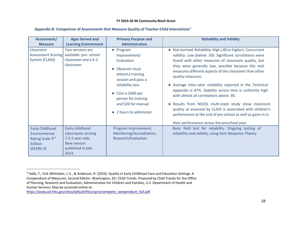# <span id="page-28-0"></span>**Appendix B: Comparison of Assessments that Measure Quality of Teacher-Child Interaction[s3](#page-28-0)**

| Assessment/<br><b>Measure</b>                                                         | <b>Ages Served and</b><br><b>Learning Environment</b>                                                  | <b>Primary Purpose and</b><br><b>Administration</b>                                                                                                                                                                                           | <b>Reliability and Validity</b>                                                                                                                                                                                                                                                                                                                                                                                                                                                                                                                                                                                                                                                                                                  |
|---------------------------------------------------------------------------------------|--------------------------------------------------------------------------------------------------------|-----------------------------------------------------------------------------------------------------------------------------------------------------------------------------------------------------------------------------------------------|----------------------------------------------------------------------------------------------------------------------------------------------------------------------------------------------------------------------------------------------------------------------------------------------------------------------------------------------------------------------------------------------------------------------------------------------------------------------------------------------------------------------------------------------------------------------------------------------------------------------------------------------------------------------------------------------------------------------------------|
| Classroom<br>System (CLASS)                                                           | Two versions are<br>Assessment Scoring   available: pre- school<br>classroom and a K-3<br>classroom    | • Program<br>Improvement/<br>Evaluation<br>Observer must<br>$\bullet$<br>attend a training<br>session and pass a<br>reliability test.<br>$\bullet$ Cost is \$600 per<br>person for training<br>and \$20 for manual<br>• 2 hours to administer | • Not normed. Reliability: High (.80 or higher). Concurrent<br>validity: Low (below .50). Significant correlations were<br>found with other measures of classroom quality, but<br>they were generally low, possible because this tool<br>measures different aspects of the classroom than other<br>quality measures.<br>• Average inter-rater reliability reported in the Technical<br>Appendix is 87%. Stability across time is uniformly high<br>with almost all correlations above .90.<br>• Results from NCEDL multi-state study show classroom<br>quality as assessed by CLASS is associated with children's<br>performance at the end of pre-school as well as gains in in<br>their performance across the preschool year. |
| <b>Early Childhood</b><br>Environmental<br>Rating Scale 3rd<br>Edition<br>$(ECERS-3)$ | Early childhood<br>classrooms serving<br>2.5-5 year olds.<br>New version<br>published in late<br>2014. | Program Improvement,<br>Monitoring/Accreditation,<br>Research/Evaluation                                                                                                                                                                      | Basic field test for reliability. Ongoing testing of<br>reliability and validity, using Item Response Theory.                                                                                                                                                                                                                                                                                                                                                                                                                                                                                                                                                                                                                    |

[https://www.acf.hhs.gov/sites/default/files/opre/complete\\_compendium\\_full.pdf.](https://www.acf.hhs.gov/sites/default/files/opre/complete_compendium_full.pdf)

<sup>&</sup>lt;sup>3</sup> Halle, T., Vick Whittaker, J. E., & Anderson, R. (2010). Quality in Early Childhood Care and Education Settings: A Compendium of Measures, Second Edition. Washington, DC: Child Trends. Prepared by Child Trends for the Office of Planning, Research and Evaluation, Administration for Children and Families, U.S. Department of Health and Human Services. May be accessed online at: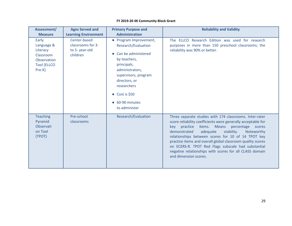| Assessment/<br><b>Measure</b>                                                               | <b>Ages Served and</b><br><b>Learning Environment</b>          | <b>Primary Purpose and</b><br><b>Administration</b>                                                                                                                                                                                                                  | <b>Reliability and Validity</b>                                                                                                                                                                                                                                                                                                                                                                                                                                                                        |
|---------------------------------------------------------------------------------------------|----------------------------------------------------------------|----------------------------------------------------------------------------------------------------------------------------------------------------------------------------------------------------------------------------------------------------------------------|--------------------------------------------------------------------------------------------------------------------------------------------------------------------------------------------------------------------------------------------------------------------------------------------------------------------------------------------------------------------------------------------------------------------------------------------------------------------------------------------------------|
| Early<br>Language &<br>Literacy<br>Classroom<br>Observation<br><b>Tool (ELLCO</b><br>Pre-K) | Center-based<br>classrooms for 3-<br>to 5-year-old<br>children | • Program Improvement,<br>Research/Evaluation<br>Can be administered<br>$\bullet$<br>by teachers,<br>principals,<br>administrators,<br>supervisors, program<br>directors, or<br>researchers<br>$\bullet$ Cost is \$50<br>60-90 minutes<br>$\bullet$<br>to administer | The ELLCO Research Edition was used for research<br>purposes in more than 150 preschool classrooms; the<br>reliability was 90% or better.                                                                                                                                                                                                                                                                                                                                                              |
| <b>Teaching</b><br>Pyramid<br>Observati<br>on Tool<br>(TPOT)                                | Pre-school<br>classrooms                                       | Research/Evaluation                                                                                                                                                                                                                                                  | Three separate studies with 174 classrooms. Inter-rater<br>score reliability coefficients were generally acceptable for<br>key practice<br>items.<br>Means percentage<br>scores<br>stability.<br>demonstrated<br>adequate<br>Noteworthy<br>relationships between scores for 10 of 14 TPOT key<br>practice items and overall global classroom quality scores<br>on ECERS-R. TPOT Red Flags subscale had substantial<br>negative relationships with scores for all CLASS domain<br>and dimension scores. |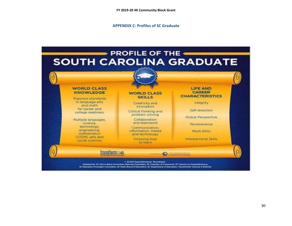**APPENDIX C: Profiles of SC Graduate**

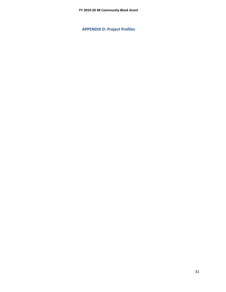**APPENDIX D: Project Profiles**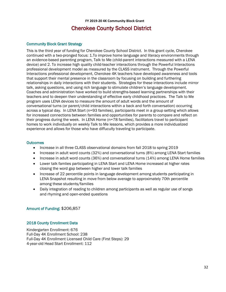# **FY 2019-20 4K Community Block Grant** Cherokee County School District

# Community Block Grant Strategy

This is the third year of funding for Cherokee County School District. In this grant cycle, Cherokee continued with a two-pronged focus: 1.To improve home language and literacy environments through an evidence-based parenting program, Talk to Me (child-parent interactions measured with a LENA device) and 2. To increase high quality child-teacher interactions through the Powerful Interactions professional development model as measured by the CLASS instrument. Through the Powerful Interactions professional development, Cherokee 4K teachers have developed awareness and tools that support their mental presence in the classroom by focusing on building and furthering relationships in daily interactions with their students. Strategies for these interactions include mirror talk, asking questions, and using rich language to stimulate children's language development. Coaches and administration have worked to build strengths-based learning partnerships with their teachers and to deepen their understanding of effective early childhood practices. The Talk to Me program uses LENA devices to measure the amount of adult words and the amount of conversational turns (or parent/child interactions within a back and forth conversation) occurring across a typical day. In LENA Start (n=93 families), participants meet in a group setting which allows for increased connections between families and opportunities for parents to compare and reflect on their progress during the week. In LENA Home (n=78 families), facilitators travel to participant homes to work individually on weekly Talk to Me lessons, which provides a more individualized experience and allows for those who have diffuculty traveling to participate.

# **Outcomes**

- Increase in all three CLASS observational domains from fall 2018 to spring 2019
- Increase in adult word counts (32%) and conversational turns (8%) among LENA Start families
- Increase in adult word counts (36%) and conversational turns (14%) among LENA Home families
- Lower talk famlies participating in LENA Start and LENA Home increased at higher rates closing the word gap between higher and lower talk families
- Increase of 22 percentile points in language development among students participating in LENA Snapshot resulting in move from below average to approximately 70th percentile among these students/families
- Daily integration of reading to children among participants as well as regular use of songs and rhyming and open-ended questions

Amount of Funding: \$206,857

# 2018 County Enrollment Data

Kindergarten Enrollment: 676 Full-Day 4K Enrollment School: 238 Full-Day 4K Enrollment Licensed Child Care (First Steps): 29 4-year-old Head Start Enrollment: 112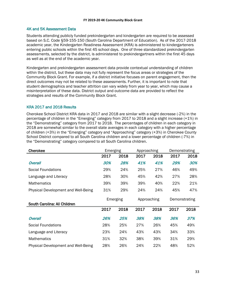# 4K and 5K Assessment Data

Students attending publicly funded prekindergarten and kindergarten are required to be assessed based on S.C. Code §59-155-150 (South Carolina Department of Education). As of the 2017-2018 academic year, the Kindergarten Readiness Assessment (KRA) is administered to kindergarteners entering public schools within the first 45 school days. One of three standardized prekindergarten assessments, selected by the district, is administered to prekindergartners within the first 45 days as well as at the end of the academic year.

Kindergarten and prekindergarten assessment data provide contextual understanding of children within the district, but these data may not fully represent the focus areas or strategies of the Community Block Grant. For example, if a district initiative focuses on parent engagement, then the direct outcomes may not be related to these assessments. Further, it is important to note that student demographics and teacher attrition can vary widely from year to year, which may cause a misinterpretation of these data. District output and outcome data are provided to reflect the strategies and results of the Community Block Grant.

# KRA 2017 and 2018 Results

Cherokee School District KRA data in 2017 and 2018 are similar with a slight decrease (-2%) in the percentage of children in the "Emerging" category from 2017 to 2018 and a slight increase (+1%) in the "Demonstrating" category from 2017 to 2018. The percentages of children in each category in 2018 are somewhat similar to the overall state averages in each category with a higher percentage of children (+3%) in the "Emerging" category and "Approaching" category (+3%) in Cherokee County School District compared to all South Carolina children and a lower percentage of children (-7%) in the "Demonstrating" category compared to all South Carolina children.

| Cherokee                                   | Emerging |      | Approaching |      | Demonstrating |      |
|--------------------------------------------|----------|------|-------------|------|---------------|------|
|                                            | 2017     | 2018 | 2017        | 2018 | 2017          | 2018 |
| <b>Overall</b>                             | 30%      | 28%  | 41%         | 41%  | 29%           | 30%  |
| Social Foundations                         | 29%      | 24%  | 25%         | 27%  | 46%           | 49%  |
| Language and Literacy                      | 28%      | 30%  | 45%         | 42%  | 27%           | 28%  |
| <b>Mathematics</b>                         | 39%      | 39%  | 39%         | 40%  | 22%           | 21%  |
| <b>Physical Development and Well-Being</b> | 31%      | 29%  | 24%         | 24%  | 45%           | 47%  |

| South Carolina: All Children               | --------- |      | 1.1771 |      | --------------- |      |
|--------------------------------------------|-----------|------|--------|------|-----------------|------|
|                                            | 2017      | 2018 | 2017   | 2018 | 2017            | 2018 |
| Overall                                    | 26%       | 25%  | 38%    | 38%  | 36%             | 37%  |
| Social Foundations                         | 28%       | 25%  | 27%    | 26%  | 45%             | 49%  |
| Language and Literacy                      | 23%       | 24%  | 43%    | 43%  | 34%             | 33%  |
| <b>Mathematics</b>                         | 31%       | 32%  | 38%    | 39%  | 31%             | 29%  |
| <b>Physical Development and Well-Being</b> | 28%       | 26%  | 24%    | 22%  | 48%             | 52%  |

Emerging Approaching Demonstrating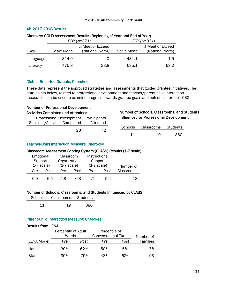# 4K 2017-2018 Results

|          |            | BOY (N=371)      | $EOY(N=331)$ |                  |  |  |  |  |
|----------|------------|------------------|--------------|------------------|--|--|--|--|
|          |            | % Meet or Exceed |              | % Meet or Exceed |  |  |  |  |
| Skill    | Scale Mean | (National Norm)  | Scale Mean   | (National Norm)  |  |  |  |  |
| Language | 314.9      | $\left( \right)$ | 431.1        | 1.5              |  |  |  |  |
| Literacy | 475.8      | 23.8             | 635.1        | 68.0             |  |  |  |  |

# Cherokee GOLD Assessment Results (Beginning of Year and End of Year)

# District Reported Outputs: Cherokee

Number of Professional Development

These data represent the approved strategies and assessments that guided grantee initiatives. The data points below, related to professional development and teacher/parent-child interaction measures, can be used to examine progress towards grantee goals and outcomes for their CBG.

| <b>Activities Completed and Attendees</b> |                               |              |  |         | Number of Schools, Classrooms, and Students |                 |  |
|-------------------------------------------|-------------------------------|--------------|--|---------|---------------------------------------------|-----------------|--|
|                                           | Professional Development      | Participants |  |         | Influenced by Professional Development      |                 |  |
|                                           | Sessions/Activities Completed | Attended     |  |         |                                             |                 |  |
|                                           | 23                            | 72.          |  | Schools | <b>Classrooms</b>                           | <b>Students</b> |  |
|                                           |                               |              |  | 11      | 19                                          | 380             |  |
|                                           |                               |              |  |         |                                             |                 |  |

# Teacher-Child Interaction Measure: Cherokee

# Classroom Assessment Scoring System (CLASS) Results (1-7 scale)

| Emotional      |                         | Classroom     |         | Instructional  |    |            |
|----------------|-------------------------|---------------|---------|----------------|----|------------|
|                | Organization<br>Support |               | Support |                |    |            |
| $(1-7)$ scale) |                         | $(1-7 scale)$ |         | $(1-7)$ scale) |    | Number of  |
| Pre            | Post                    | Pre           | Post    | Post<br>Pre    |    | Classrooms |
| 60             | 65                      | 58            | 63      |                | 54 | 18         |

## Number of Schools, Classrooms, and Students Influenced by CLASS

| Schools | Classrooms | Students |
|---------|------------|----------|
|         | 19         | וועני    |

# Parent-Child Interaction Measure: Cherokee

# Results from LENA

|            | Percentile of Adult<br>Words |      | Percentile of<br><b>Conversational Turns</b> | Number of |                 |
|------------|------------------------------|------|----------------------------------------------|-----------|-----------------|
| LENA Model | Pre                          | Post | Pre                                          | Post      | <b>Families</b> |
| Home       | 30 <sup>th</sup>             | 62nd | 50 <sup>th</sup>                             | 58th      | 78              |
| Start      | 39th                         | 75th | 48 <sup>th</sup>                             | 62nd      | 93              |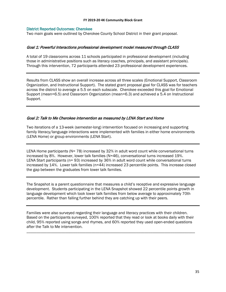# District Reported Outcomes: Cherokee

Two main goals were outlined by Cherokee County School District in their grant proposal.

# Goal 1: Powerful Interactions professional development model measured through CLASS

A total of 19 classrooms across 11 schools participated in professional development (including those in administrative positions such as literacy coaches, principals, and assistant principals). Through this intervention, 72 participants attended 23 professional development experiences.

Results from CLASS show an overall increase across all three scales (Emotional Support, Classroom Organization, and Instructional Support). The stated grant proposal goal for CLASS was for teachers across the district to average a 5.5 on each subscale. Cherokee exceeded this goal for Emotional Support (mean=6.5) and Classroom Organization (mean=6.3) and achieved a 5.4 on Instructional Support.

# Goal 2: Talk to Me Cherokee intervention as measured by LENA Start and Home

Two iterations of a 13-week (semester-long) intervention focused on increasing and supporting family literacy/language interactions were implemented with families in either home environments (LENA Home) or group environments (LENA Start).

LENA Home participants (N= 78) increased by 32% in adult word count while conversational turns increased by 8%. However, lower talk families (N=46), conversational turns increased 19%. LENA Start participants (n= 93) increased by 36% in adult word count while conversational turns increased by 14%. Lower talk families (n=44) increased 23 percentile points. This increase closed the gap between the graduates from lower talk families.

The Snapshot is a parent questionnaire that measures a child's receptive and expressive language development. Students participating in the LENA Snapshot showed 22 percentile points growth in language development which took lower talk families from below average to approximately 70th percentile. Rather than falling further behind they are catching up with their peers.

Families were also surveyed regarding their language and literacy practices with their children. Based on the participants surveyed, 100% reported that they read or look at books daily with their child, 95% reported using songs and rhymes, and 60% reported they used open-ended questions after the Talk to Me intervention.

\_\_\_\_\_\_\_\_\_\_\_\_\_\_\_\_\_\_\_\_\_\_\_\_\_\_\_\_\_\_\_\_\_\_\_\_\_\_\_\_\_\_\_\_\_\_\_\_\_\_\_\_\_\_\_\_\_\_\_\_\_\_\_\_\_\_\_\_\_\_\_\_\_\_\_\_\_\_\_\_\_\_\_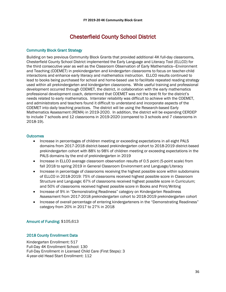# Chesterfield County School District

# Community Block Grant Strategy

Building on two previous Community Block Grants that provided additional 4K full-day classrooms, Chesterfield County School District implemented the Early Language and Literacy Tool (ELLCO) for the third consecutive year as well as the Classroom Observation of Early Mathematics—Environment and Teaching (COEMET) in prekindergarten and kindergarten classrooms to focus on teacher-child interactions and enhance early literacy and mathematics instruction. ELLCO results continued to lead to books being purchased for school and home-based use to facilitate repeated reading strategy used within all prekindergarten and kindergarten classrooms. While useful training and professional development occurred through COEMET, the district, in collaboration with the early mathematics professional development coach, determined that COEMET was not the best fit for the district's needs related to early mathematics. Interrater reliability was difficult to achieve with the COEMET, and administrators and teachers found it difficult to understand and incorporate aspects of the COEMET into daily teaching practices. The district will be using the Research-based Early Mathematics Assessment (REMA) in 2019-2020. In addition, the district will be expanding CERDEP to include 7 schools and 12 classrooms in 2019-2020 (compared to 3 schools and 7 classrooms in 2018-19).

# **Outcomes**

- Increase in percentages of children meeting or exceeding expectations in all eight PALS domains from 2017-2018 district-based prekindergarten cohort to 2018-2019 district-based prekindergarten cohort with 88% to 98% of children meeting or exceedng expectations in the PALS domains by the end of prekindergarten in 2019
- Increase in ELLCO average classroom observation results of 0.5 point (5-point scale) from fall 2018 to spring 2019 in General Classroom Environment and Language/Literacy
- Increase in percentage of classrooms receiving the highest possible score within subdomains of ELLCO in 2018-2019: 75% of classrooms received highest possible score in Classroom Structure and Language; 67% of classrooms received highest possible score in Curriculum; and 50% of classrooms received highest possible score in Books and Print/Writing
- Increase of 9% in "Demonstrating Readiness" category on Kindergarten Readiness Assessment from 2017-2018 prekindergarten cohort to 2018-2019 prekindergarten cohort
- Increase of overall percentage of entering kindergarteners in the "Demonstrating Readiness" category from 20% in 2017 to 27% in 2018

# Amount of Funding: \$105,613

# 2018 County Enrollment Data

Kindergarten Enrollment: 517 Full-Day 4K Enrollment School: 130 Full-Day Enrollment in Licensed Child Care (First Steps): 3 4-year-old Head Start Enrollment: 112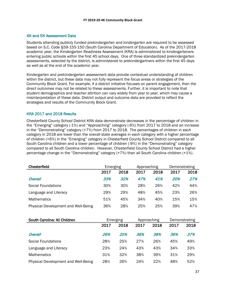# 4K and 5K Assessment Data

Students attending publicly funded prekindergarten and kindergarten are required to be assessed based on S.C. Code §59-155-150 (South Carolina Department of Education). As of the 2017-2018 academic year, the Kindergarten Readiness Assessment (KRA) is administered to kindergarteners entering public schools within the first 45 school days. One of three standardized prekindergarten assessments, selected by the district, is administered to prekindergartners within the first 45 days as well as at the end of the academic year.

Kindergarten and prekindergarten assessment data provide contextual understanding of children within the district, but these data may not fully represent the focus areas or strategies of the Community Block Grant. For example, if a district initiative focuses on parent engagement, then the direct outcomes may not be related to these assessments. Further, it is important to note that student demographics and teacher attrition can vary widely from year to year, which may cause a misinterpretation of these data. District output and outcome data are provided to reflect the strategies and results of the Community Block Grant.

# KRA 2017 and 2018 Results

Chesterfield County School District KRA data demonstrate decreases in the percentage of children in the "Emerging" category (-1%) and "Approaching" category (-6%) from 2017 to 2018 and an increase in the "Demonstrating" category (+7%) from 2017 to 2018. The percentages of children in each category in 2018 are lower than the overall state averages in each category with a higher percentage of children (+6%) in the "Emerging" category in Chesterfield County School District compared to all South Carolina children and a lower percentage of children (-9%) in the "Demonstrating" category compared to all South Carolina children. However, Chesterfield County School District had a higher percentage change in the "Demonstrating" category (+7%) than all South Carolina children (+1%).

| Chesterfield                               | Emerging |          | Approaching |      | Demonstrating |      |
|--------------------------------------------|----------|----------|-------------|------|---------------|------|
|                                            | 2017     | 2018     | 2017        | 2018 | 2017          | 2018 |
| <b>Overall</b>                             | 33%      | 32%      | 47%         | 41%  | 20%           | 27%  |
| Social Foundations                         | 30%      | 30%      | 28%         | 26%  | 42%           | 44%  |
| Language and Literacy                      | 29%      | 29%      | 48%         | 45%  | 23%           | 26%  |
| <b>Mathematics</b>                         | 51%      | 45%      | 34%         | 40%  | 15%           | 15%  |
| <b>Physical Development and Well-Being</b> | 36%      | 28%      | 25%         | 25%  | 39%           | 47%  |
| South Carolina: All Children               |          | Emerging | Approaching |      | Demonstrating |      |
|                                            | 2017     | 2018     | 2017        | 2018 | 2017          | 2018 |
| <b>Overall</b>                             | 26%      | 25%      | 38%         | 38%  | 36%           | 37%  |
| Social Foundations                         | 28%      | 25%      | 27%         | 26%  | 45%           | 49%  |

Language and Literacy 23% 24% 43% 43% 34% 33% Mathematics 31% 32% 38% 39% 31% 29% Physical Development and Well-Being 28% 26% 24% 22% 48% 52%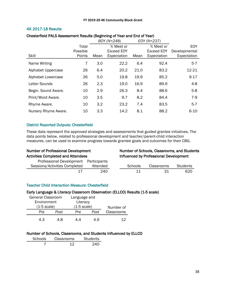# 4K 2017-18 Results

|                      |                             | BOY (N=248) |                                        | EOY (N=237) |                                        |                                            |
|----------------------|-----------------------------|-------------|----------------------------------------|-------------|----------------------------------------|--------------------------------------------|
| Skill                | Total<br>Possible<br>Points | Mean        | % Meet or<br>Exceed EOY<br>Expectation | Mean        | % Meet or<br>Exceed EOY<br>Expectation | <b>EOY</b><br>Developmental<br>Expectation |
| Name Writing         | 7                           | 3.0         | 22.2                                   | 6.4         | 92.4                                   | $5 - 7$                                    |
| Alphabet Uppercase   | 26                          | 6.4         | 20.2                                   | 21.0        | 83.2                                   | 12-21                                      |
| Alphabet Lowercase   | 26                          | 5.0         | 19.8                                   | 19.9        | 85.2                                   | $9 - 17$                                   |
| <b>Letter Sounds</b> | 26                          | 2.3         | 19.0                                   | 16.9        | 89.9                                   | $4 - 8$                                    |
| Begin. Sound Aware.  | 10                          | 2.9         | 26.3                                   | 8.4         | 88.6                                   | $5-8$                                      |
| Print/Word Aware.    | 10                          | 3.5         | 9.7                                    | 8.2         | 84.4                                   | $7-9$                                      |
| Rhyme Aware.         | 10                          | 3.2         | 23.2                                   | 7.4         | 83.5                                   | $5 - 7$                                    |
| Nursery Rhyme Aware. | 10                          | 3.3         | 14.2                                   | 8.1         | 88.2                                   | $6 - 10$                                   |

# Chesterfield PALS Assessment Results (Beginning of Year and End of Year)

# District Reported Outputs: Chesterfield

These data represent the approved strategies and assessments that guided grantee initiatives. The data points below, related to professional development and teacher/parent-child interaction measures, can be used to examine progress towards grantee goals and outcomes for their CBG.

| <b>Number of Professional Development</b> |              |  | Number of Schools, Classrooms, and Students |            |                 |  |  |  |
|-------------------------------------------|--------------|--|---------------------------------------------|------------|-----------------|--|--|--|
| <b>Activities Completed and Attendees</b> |              |  | Influenced by Professional Development      |            |                 |  |  |  |
| <b>Professional Development</b>           | Participants |  |                                             |            |                 |  |  |  |
| Sessions/Activities Completed             | Attended     |  | <b>Schools</b>                              | Classrooms | <b>Students</b> |  |  |  |
| 17                                        | 240          |  | 11                                          | 31         | 620             |  |  |  |

## Teacher Child Interaction Measure: Chesterfield

## Early Language & Literacy Classroom Observation (ELLCO) Results (1-5 scale)

| General Classroom     |      | Language and          |      |            |
|-----------------------|------|-----------------------|------|------------|
| Environment           |      | Literacy              |      |            |
| $(1-5 \text{ scale})$ |      | $(1-5 \text{ scale})$ |      | Number of  |
| Pre                   | Post | Pre                   | Post | Classrooms |
| 43                    | 18   | ıд                    | ιq   |            |

# Number of Schools, Classrooms, and Students Influenced by ELLCO

| Schools | Classrooms | Students |
|---------|------------|----------|
|         |            | ク40      |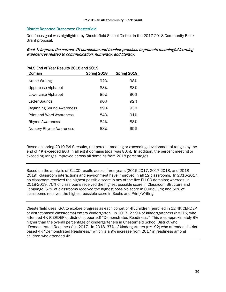# District Reported Outcomes: Chesterfield

One focus goal was highlighted by Chesterfield School District in the 2017-2018 Community Block Grant proposal.

Goal 1: Improve the current 4K curriculum and teacher practices to promote meaningful learning experiences related to communication, numeracy, and literacy.

# PALS End of Year Results 2018 and 2019 Domain Spring 2018 Spring 2019

| Name Writing                     | 92% | 98% |
|----------------------------------|-----|-----|
| Uppercase Alphabet               | 83% | 88% |
| Lowercase Alphabet               | 85% | 90% |
| Letter Sounds                    | 90% | 92% |
| <b>Beginning Sound Awareness</b> | 89% | 93% |
| <b>Print and Word Awareness</b>  | 84% | 91% |
| <b>Rhyme Awareness</b>           | 84% | 88% |
| Nursery Rhyme Awareness          | 88% | 95% |

Based on spring 2019 PALS results, the percent meeting or exceeding developmental ranges by the end of 4K exceeded 80% in all eight domains (goal was 80%). In addition, the percent meeting or exceeding ranges improved across all domains from 2018 percentages.

Based on the analysis of ELLCO results across three years (2016-2017, 2017-2018, and 2018- 2019), classroom interactions and environment have improved in all 12 classrooms. In 2016-2017, no classroom received the highest possible score in any of the five ELLCO domains; whereas, in 2018-2019, 75% of classrooms received the highest possible score in Classroom Structure and Language; 67% of classrooms received the highest possible score in Curriculum; and 50% of classrooms received the highest possible score in Books and Print/Writing.

Chesterfield uses KRA to explore progress as each cohort of 4K children (enrolled in 12 4K CERDEP or district-based classrooms) enters kindergarten. In 2017, 27.9% of kindergarteners (n=215) who attended 4K (CERDEP or district-supported) "Demonstrated Readiness." This was approximately 8% higher than the overall percentage of kindergarteners in Chesterfield School District who "Demonstrated Readiness" in 2017. In 2018, 37% of kindergartners (n=192) who attended districtbased 4K "Demonstrated Readiness," which is a 9% increase from 2017 in readiness among children who attended 4K.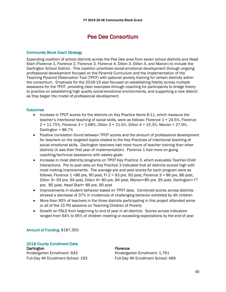# Pee Dee Consortium

# Community Block Grant Strategy

Expanding coalition of school districts across the Pee Dee area from seven school districts and Head Start (Florence 1, Florence 2, Florence 3, Florence 4, Dillon 3, Dillon 4, and Marion) to include the Darlington School District. This coalition prioritizes social-emotional development through ongoing professional development focused on the Pyramid Curriculum and the implementation of the Teaching Pyramid Observation Tool (TPOT) with optional poverty training for certain districts within the consortium. Emphasis for the 2018-19 year focused on establishing fidelity across multiple assessors for the TPOT, providing clear examples through coaching for participants to bridge theory to practice on establishing high quality social-emotional environments, and supporting a new district as they began the model of professional development.

## **Outcomes**

- Increase in TPOT scores for the districts on Key Practice Items 8-11, which measure the teacher's intentional teaching of social skills, were as follows: Florence  $1 = 24.5\%$ , Florence 2 = 11.75%, Florence 3 = 1.68%, Dillon 3 = 21.5%, Dillon 4 = 15.3%, Marion = 27.9%, Darlington = 86.7%
- Positive correlation found between TPOT scores and the amount of professional development for teachers on the targeted topics related to the Key Practices of intentional teaching of social emotional skills. Darlington teachers had more hours of teacher training than other districts (it was their first year of implementation). Florence 1 had more on-going coaching/technical assistance with weekly goals
- Increase in most districts/programs on TPOT Key Practice 3, which evaluates Teacher-Child Interactions. Pre to post data on Key Practice 3 indicated that all districts scored high with most making improvements. The average pre and post scores for each program were as follows: Florence  $1 = 86$  pre, 90 post, Fl  $2 = 93$  pre, 93 post, Florence  $3 = 86$  pre, 86 post, Dillon 3= 93 pre, 94 post, Dillon 4= 80 pre, 84 post, Marion=85 pre, 95 post, Darlington=77 pre. 85 post, Head Start= 89 pre, 90 post
- Improvements in student behavior based on TPOT data. Combined scores across districts showed a decrease of 37% in incidences of challenging behavior exhibited by 4K children
- More than 95% of teachers in the three districts participating in this project attended some or all of the 15 PD sessions on Teaching Children of Poverty
- Growth on PALS from beginning to end of year in all districts. Scores across indicators ranged from 64% to 95% of children meeting or exceeding expectations by the end of year

Amount of Funding: \$187,350

# 2018 County Enrollment Data

**Darlington** Kindergarten Enrollment: 643 Full-Day 4K Enrollment School: 193

# Florence

Kindergarten Enrollment: 1,761 Full-Day 4K Enrollment School: 489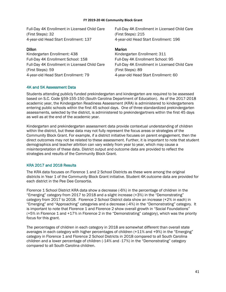Full-Day 4K Enrollment in Licensed Child Care (First Steps): 32 4-year-old Head Start Enrollment: 137

# **Dillon**

Kindergarten Enrollment: 438 Full-Day 4K Enrollment School: 158 Full-Day 4K Enrollment in Licensed Child Care (First Steps): 59 4-year-old Head Start Enrollment: 79

Full-Day 4K Enrollment in Licensed Child Care (First Steps): 215 4-year-old Head Start Enrollment: 196

# **Marion**

Kindergarten Enrollment: 311 Full-Day 4K Enrollment School: 95 Full-Day 4K Enrollment in Licensed Child Care (First Steps): 89 4-year-old Head Start Enrollment: 60

# 4K and 5K Assessment Data

Students attending publicly funded prekindergarten and kindergarten are required to be assessed based on S.C. Code §59-155-150 (South Carolina Department of Education). As of the 2017-2018 academic year, the Kindergarten Readiness Assessment (KRA) is administered to kindergarteners entering public schools within the first 45 school days. One of three standardized prekindergarten assessments, selected by the district, is administered to prekindergartners within the first 45 days as well as at the end of the academic year.

Kindergarten and prekindergarten assessment data provide contextual understanding of children within the district, but these data may not fully represent the focus areas or strategies of the Community Block Grant. For example, if a district initiative focuses on parent engagement, then the direct outcomes may not be related to these assessment. Further, it is important to note that student demographics and teacher attrition can vary widely from year to year, which may cause a misinterpretation of these data. District output and outcome data are provided to reflect the strategies and results of the Community Block Grant.

# KRA 2017 and 2018 Results

The KRA data focuses on Florence 1 and 2 School Districts as these were among the original districts in Year 1 of the Community Block Grant initiative. Student 4K outcome data are provided for each district in the Pee Dee Consortia.

Florence 1 School District KRA data show a decrease (-6%) in the percentage of children in the "Emerging" category from 2017 to 2018 and a slight increase (+3%) in the "Demonstrating" category from 2017 to 2018. Florence 2 School District data show an increase (+2% in each) in "Emerging" and "Approaching" categories and a decrease (-4%) in the "Demonstrating" category. It is important to note that Florence 1 and Florence 2 show overall growth in "Social Foundations" (+5% in Florence 1 and +17% in Florence 2 in the "Demonstrating" category), which was the priority focus for this grant.

The percentages of children in each category in 2018 are somewhat different than overall state averages in each category with higher percentages of children (+11% and +9%) in the "Emerging" category in Florence 1 and Florence 2 School Districts in 2018 compared to all South Carolina children and a lower percentage of children (-14% and -17%) in the "Demonstrating" category compared to all South Carolina children.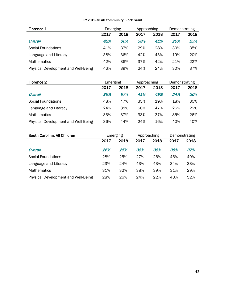| Florence 1                          | Emerging |      | Approaching |      | Demonstrating |      |
|-------------------------------------|----------|------|-------------|------|---------------|------|
|                                     | 2017     | 2018 | 2017        | 2018 | 2017          | 2018 |
| Overall                             | 42%      | 36%  | 38%         | 41%  | 20%           | 23%  |
| Social Foundations                  | 41%      | 37%  | 29%         | 28%  | 30%           | 35%  |
| Language and Literacy               | 38%      | 36%  | 42%         | 45%  | 19%           | 20%  |
| <b>Mathematics</b>                  | 42%      | 36%  | 37%         | 42%  | 21%           | 22%  |
| Physical Development and Well-Being | 46%      | 39%  | 24%         | 24%  | 30%           | 37%  |

| Florence 2                                 | Emerging |      | Approaching |      | Demonstrating |      |
|--------------------------------------------|----------|------|-------------|------|---------------|------|
|                                            | 2017     | 2018 | 2017        | 2018 | 2017          | 2018 |
| Overall                                    | 35%      | 37%  | 41%         | 43%  | 24%           | 20%  |
| Social Foundations                         | 48%      | 47%  | 35%         | 19%  | 18%           | 35%  |
| Language and Literacy                      | 24%      | 31%  | 50%         | 47%  | 26%           | 22%  |
| <b>Mathematics</b>                         | 33%      | 37%  | 33%         | 37%  | 35%           | 26%  |
| <b>Physical Development and Well-Being</b> | 36%      | 44%  | 24%         | 16%  | 40%           | 40%  |

| South Carolina: All Children               | Emerging |      | Approaching |      | Demonstrating |      |
|--------------------------------------------|----------|------|-------------|------|---------------|------|
|                                            | 2017     | 2018 | 2017        | 2018 | 2017          | 2018 |
| Overall                                    | 26%      | 25%  | 38%         | 38%  | 36%           | 37%  |
| Social Foundations                         | 28%      | 25%  | 27%         | 26%  | 45%           | 49%  |
| Language and Literacy                      | 23%      | 24%  | 43%         | 43%  | 34%           | 33%  |
| <b>Mathematics</b>                         | 31%      | 32%  | 38%         | 39%  | 31%           | 29%  |
| <b>Physical Development and Well-Being</b> | 28%      | 26%  | 24%         | 22%  | 48%           | 52%  |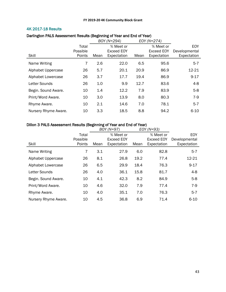# 4K 2017-18 Results

# Darlington PALS Assessment Results (Beginning of Year and End of Year)

|                      |          | BOY (N=294) |                   | EOY (N=274) |                   |               |
|----------------------|----------|-------------|-------------------|-------------|-------------------|---------------|
|                      | Total    |             | % Meet or         |             | % Meet or         | EOY           |
|                      | Possible |             | <b>Exceed EOY</b> |             | <b>Exceed EOY</b> | Developmental |
| Skill                | Points   | Mean        | Expectation       | Mean        | Expectation       | Expectation   |
| Name Writing         | 7        | 2.6         | 22.0              | 6.5         | 95.6              | $5 - 7$       |
| Alphabet Uppercase   | 26       | 5.7         | 20.1              | 20.9        | 86.9              | 12-21         |
| Alphabet Lowercase   | 26       | 3.7         | 17.7              | 19.4        | 86.9              | $9 - 17$      |
| <b>Letter Sounds</b> | 26       | 1.0         | 9.9               | 12.7        | 83.6              | $4 - 8$       |
| Begin. Sound Aware.  | 10       | 1.4         | 12.2              | 7.9         | 83.9              | $5-8$         |
| Print/Word Aware.    | 10       | 3.0         | 13.9              | 8.0         | 80.3              | $7-9$         |
| Rhyme Aware.         | 10       | 2.1         | 14.6              | 7.0         | 78.1              | $5 - 7$       |
| Nursery Rhyme Aware. | 10       | 3.3         | 18.5              | 8.8         | 94.2              | $6 - 10$      |

# Dillon 3 PALS Assessment Results (Beginning of Year and End of Year)

|                      |          | BOY (N=97) |                   | $EOY(N=93)$ |             |               |
|----------------------|----------|------------|-------------------|-------------|-------------|---------------|
|                      | Total    |            | % Meet or         |             | % Meet or   | EOY           |
|                      | Possible |            | <b>Exceed EOY</b> |             | Exceed EOY  | Developmental |
| Skill                | Points   | Mean       | Expectation       | Mean        | Expectation | Expectation   |
| Name Writing         | 7        | 3.1        | 27.9              | 6.0         | 82.8        | $5 - 7$       |
| Alphabet Uppercase   | 26       | 8.1        | 26.8              | 19.2        | 77.4        | 12-21         |
| Alphabet Lowercase   | 26       | 6.5        | 29.9              | 18.4        | 76.3        | $9 - 17$      |
| <b>Letter Sounds</b> | 26       | 4.0        | 36.1              | 15.8        | 81.7        | $4-8$         |
| Begin. Sound Aware.  | 10       | 4.1        | 42.3              | 8.2         | 84.9        | $5-8$         |
| Print/Word Aware.    | 10       | 4.6        | 32.0              | 7.9         | 77.4        | $7-9$         |
| Rhyme Aware.         | 10       | 4.0        | 35.1              | 7.0         | 76.3        | $5 - 7$       |
| Nursery Rhyme Aware. | 10       | 4.5        | 36.8              | 6.9         | 71.4        | $6 - 10$      |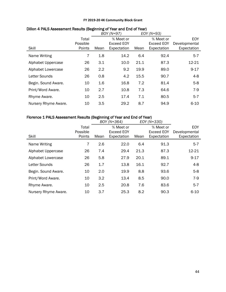|                      |                             |      | BOY (N=97)                                    | EOY (N=93) |                                        |                                            |
|----------------------|-----------------------------|------|-----------------------------------------------|------------|----------------------------------------|--------------------------------------------|
| Skill                | Total<br>Possible<br>Points | Mean | % Meet or<br><b>Exceed EOY</b><br>Expectation | Mean       | % Meet or<br>Exceed EOY<br>Expectation | <b>EOY</b><br>Developmental<br>Expectation |
| Name Writing         | 7                           | 1.8  | 14.2                                          | 6.4        | 92.4                                   | $5 - 7$                                    |
| Alphabet Uppercase   | 26                          | 3.1  | 10.0                                          | 21.1       | 87.3                                   | 12-21                                      |
| Alphabet Lowercase   | 26                          | 2.2  | 9.2                                           | 19.9       | 89.0                                   | $9 - 17$                                   |
| Letter Sounds        | 26                          | 0.8  | 4.2                                           | 15.5       | 90.7                                   | $4 - 8$                                    |
| Begin. Sound Aware.  | 10                          | 1.6  | 16.8                                          | 7.2        | 81.4                                   | $5-8$                                      |
| Print/Word Aware.    | 10                          | 2.7  | 10.8                                          | 7.3        | 64.6                                   | $7-9$                                      |
| Rhyme Aware.         | 10                          | 2.5  | 17.4                                          | 7.1        | 80.5                                   | $5 - 7$                                    |
| Nursery Rhyme Aware. | 10                          | 3.5  | 29.2                                          | 8.7        | 94.9                                   | $6 - 10$                                   |

# Dillon 4 PALS Assessment Results (Beginning of Year and End of Year)

# Florence 1 PALS Assessment Results (Beginning of Year and End of Year)

|                      |          | BOY (N=364) |                   | EOY (N=330) |             |               |
|----------------------|----------|-------------|-------------------|-------------|-------------|---------------|
|                      | Total    |             | % Meet or         |             | % Meet or   | <b>EOY</b>    |
|                      | Possible |             | <b>Exceed EOY</b> |             | Exceed EOY  | Developmental |
| Skill                | Points   | Mean        | Expectation       | Mean        | Expectation | Expectation   |
| Name Writing         | 7        | 2.6         | 22.0              | 6.4         | 91.3        | $5 - 7$       |
| Alphabet Uppercase   | 26       | 7.4         | 29.4              | 21.3        | 87.3        | 12-21         |
| Alphabet Lowercase   | 26       | 5.8         | 27.9              | 20.1        | 89.1        | $9 - 17$      |
| Letter Sounds        | 26       | 1.7         | 13.8              | 16.1        | 92.7        | $4-8$         |
| Begin. Sound Aware.  | 10       | 2.0         | 19.9              | 8.8         | 93.6        | $5-8$         |
| Print/Word Aware.    | 10       | 3.2         | 13.4              | 8.5         | 90.0        | $7-9$         |
| Rhyme Aware.         | 10       | 2.5         | 20.8              | 7.6         | 83.6        | $5 - 7$       |
| Nursery Rhyme Aware. | 10       | 3.7         | 25.3              | 8.2         | 90.3        | $6 - 10$      |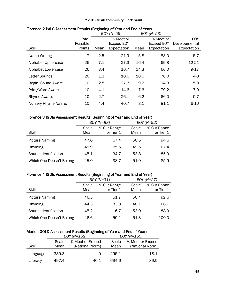|                           |                   |      | BOY (N=55)                     | $EOY(N=53)$ |                         |                             |
|---------------------------|-------------------|------|--------------------------------|-------------|-------------------------|-----------------------------|
|                           | Total<br>Possible |      | % Meet or<br><b>Exceed EOY</b> |             | % Meet or<br>Exceed EOY | <b>EOY</b><br>Developmental |
| Skill                     | Points            | Mean | Expectation                    | Mean        | Expectation             | Expectation                 |
| Name Writing              | 7                 | 2.5  | 21.9                           | 5.8         | 83.0                    | $5 - 7$                     |
| Alphabet Uppercase        | 26                | 7.1  | 27.3                           | 16.4        | 69.8                    | 12-21                       |
| <b>Alphabet Lowercase</b> | 26                | 3.4  | 16.7                           | 14.3        | 66.0                    | $9 - 17$                    |
| <b>Letter Sounds</b>      | 26                | 1.3  | 10.6                           | 10.6        | 78.0                    | $4 - 8$                     |
| Begin. Sound Aware.       | 10                | 2.8  | 27.3                           | 9.2         | 94.3                    | $5-8$                       |
| Print/Word Aware.         | 10                | 4.1  | 14.6                           | 7.6         | 79.2                    | $7-9$                       |
| Rhyme Aware.              | 10                | 2.7  | 26.1                           | 6.2         | 66.0                    | $5 - 7$                     |
| Nursery Rhyme Aware.      | 10                | 4.4  | 40.7                           | 8.1         | 81.1                    | $6 - 10$                    |

# Florence 2 PALS Assessment Results (Beginning of Year and End of Year)

# Florence 3 IGDIs Assessment Results (Beginning of Year and End of Year)

|                          | BOY (N=98) |             |       | EOY (N=92)  |
|--------------------------|------------|-------------|-------|-------------|
|                          | Scale      | % Cut Range | Scale | % Cut Range |
| Skill                    | Mean       | or Tier 1   | Mean  | or Tier 1   |
| <b>Picture Naming</b>    | 47.0       | 67.4        | 50.5  | 94.6        |
| Rhyming                  | 41.9       | 25.5        | 49.5  | 67.4        |
| Sound Identification     | 45.1       | 34.7        | 53.8  | 85.9        |
| Which One Doesn't Belong | 45.0       | 38.7        | 51.0  | 85.9        |

# Florence 4 IGDIs Assessment Results (Beginning of Year and End of Year)

|                          | $BOY(N=31)$ |             |       | $EOY(N=27)$ |
|--------------------------|-------------|-------------|-------|-------------|
|                          | Scale       | % Cut Range | Scale | % Cut Range |
| Skill                    | Mean        | or Tier 1   | Mean  | or Tier 1   |
| <b>Picture Naming</b>    | 46.5        | 51.7        | 50.4  | 92.6        |
| Rhyming                  | 44.3        | 33.3        | 48.1  | 66.7        |
| Sound Identification     | 45.2        | 16.7        | 53.0  | 88.9        |
| Which One Doesn't Belong | 46.6        | 59.1        | 51.3  | 100.0       |

# Marion GOLD Assessment Results (Beginning of Year and End of Year)

|          |       | BOY (N=162)      |       | $EOY (N=155)$    |
|----------|-------|------------------|-------|------------------|
|          | Scale | % Meet or Exceed | Scale | % Meet or Exceed |
| Skill    | Mean  | (National Norm)  | Mean  | (National Norm)  |
| Language | 339.3 |                  | 495.1 | 18.1             |
| Literacy | 497.4 | 40.1             | 694.6 | 89.0             |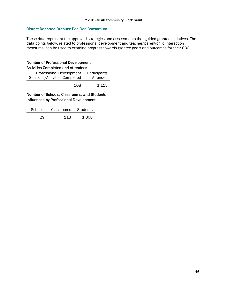# District Reported Outputs: Pee Dee Consortium

These data represent the approved strategies and assessments that guided grantee initiatives. The data points below, related to professional development and teacher/parent-child interaction measures, can be used to examine progress towards grantee goals and outcomes for their CBG.

# Number of Professional Development Activities Completed and Attendees

| <b>Professional Development</b> | Participants |
|---------------------------------|--------------|
| Sessions/Activities Completed   | Attended     |
| 108                             | 1,115        |

Number of Schools, Classrooms, and Students Influenced by Professional Development

| <b>Schools</b> | Classrooms | Students |
|----------------|------------|----------|
| 29             | 113        | 1.808    |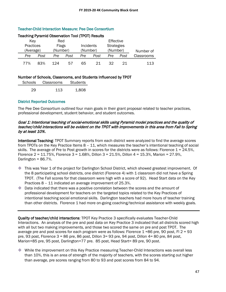# Teacher-Child Interaction Measure: Pee Dee Consortium

| <b>TUGUITING I TIGHTING UDSULVATION I TUUL (TT UT ) TIUSUNG</b> |      |          |      |           |      |                   |      |            |
|-----------------------------------------------------------------|------|----------|------|-----------|------|-------------------|------|------------|
| Kev                                                             |      | Red      |      |           |      | Effective         |      |            |
| Practices                                                       |      | Flags    |      | Incidents |      | <b>Strategies</b> |      |            |
| (Average)                                                       |      | (Number) |      | (Number)  |      | (Number)          |      | Number of  |
| Pre                                                             | Post | Pre      | Post | Pre       | Post | Pre               | Post | Classrooms |
| 77%                                                             | 83%  | 124      | 57   | 65        | 21   | 32.               | 21   | 113        |

# Teaching Pyramid Observation Tool (TPOT) Results

# Number of Schools, Classrooms, and Students Influenced by TPOT

| Schools | <b>Classrooms</b> | Students |
|---------|-------------------|----------|
| 29      | 113               | 1.808    |

# District Reported Outcomes

The Pee Dee Consortium outlined four main goals in their grant proposal related to teacher practices, professional development, student behavior, and student outcomes.

# Goal 1: Intentional teaching of social-emotional skills using Pyramid model practices and the quality of teacher/child interactions will be evident on the TPOT with improvements in this area from Fall to Spring by at least 10%.

Intentional Teaching: TPOT Summary reports from each district were analyzed to find the average scores from TPOTs on the Key Practice Items  $8 - 11$ , which measures the teacher's intentional teaching of social skills. The average of Pre to Post growth in scores for the districts were as follows: Florence  $1 = 24.5\%$ , Florence 2 = 11.75%, Florence 3 = 1.68%, Dillon 3 = 21.5%, Dillon 4 = 15.3%, Marion = 27.9%, Darlington = 86.7%.

- This was Year 1 of the project for Darlington School District, which showed greatest improvement. Of the 8 participating school districts, one district (Florence 4) with 1 classroom did not have a Spring TPOT. (The Fall scores for that classroom were high with a score of 92). Head Start data on the Key Practices 8 – 11 indicated an average improvement of 25.3%.
- Data indicated that there was a positive correlation between the scores and the amount of professional development for teachers on the targeted topics related to the Key Practices of intentional teaching social emotional skills. Darlington teachers had more hours of teacher training than other districts. Florence 1 had more on-going coaching/technical assistance with weekly goals.

Quality of teacher/child interactions: TPOT Key Practice 3 specifically evaluates Teacher-Child Interactions. An analysis of the pre and post data on Key Practice 3 indicated that all districts scored high with all but two making improvements, and those two scored the same on pre and post TPOT. The average pre and post scores for each program were as follows: Florence  $1 = 86$  pre, 90 post, FI  $2 = 93$ pre, 93 post, Florence 3 = 86 pre, 86 post, Dillon 3= 93 pre, 94 post, Dillon 4= 80 pre, 84 post, Marion=85 pre, 95 post, Darlington=77 pre. 85 post, Head Start= 89 pre, 90 post.

 While the improvement on this Key Practice measuring Teacher-Child Interactions was overall less than 10%, this is an area of strength of the majority of teachers, with the scores starting out higher than average, pre scores ranging from 80 to 93 and post scores from 84 to 94.